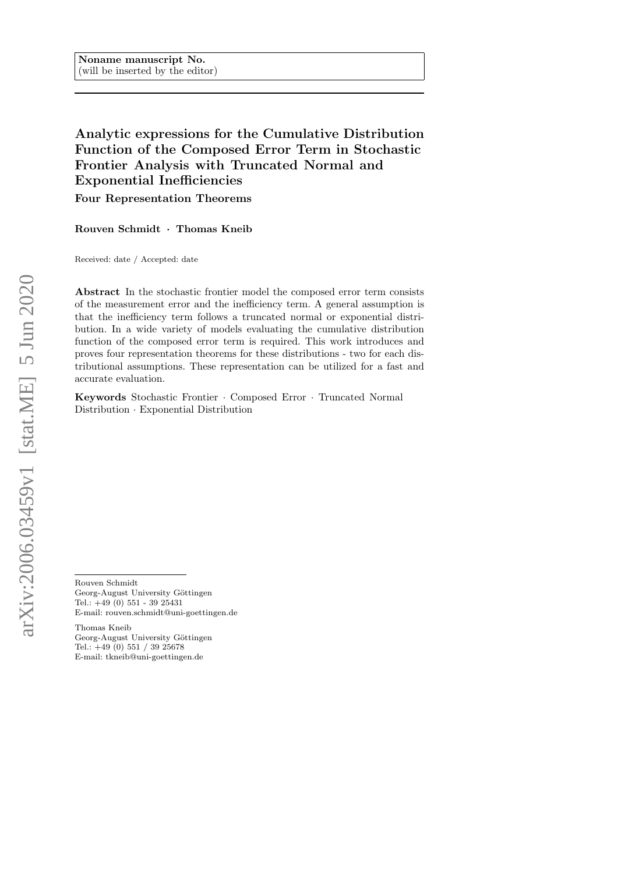# Analytic expressions for the Cumulative Distribution Function of the Composed Error Term in Stochastic Frontier Analysis with Truncated Normal and Exponential Inefficiencies

Four Representation Theorems

Rouven Schmidt · Thomas Kneib

Received: date / Accepted: date

Abstract In the stochastic frontier model the composed error term consists of the measurement error and the inefficiency term. A general assumption is that the inefficiency term follows a truncated normal or exponential distribution. In a wide variety of models evaluating the cumulative distribution function of the composed error term is required. This work introduces and proves four representation theorems for these distributions - two for each distributional assumptions. These representation can be utilized for a fast and accurate evaluation.

Keywords Stochastic Frontier · Composed Error · Truncated Normal Distribution · Exponential Distribution

Rouven Schmidt Georg-August University Göttingen Tel.: +49 (0) 551 - 39 25431 E-mail: rouven.schmidt@uni-goettingen.de

Thomas Kneib Georg-August University Göttingen Tel.: +49 (0) 551 / 39 25678 E-mail: tkneib@uni-goettingen.de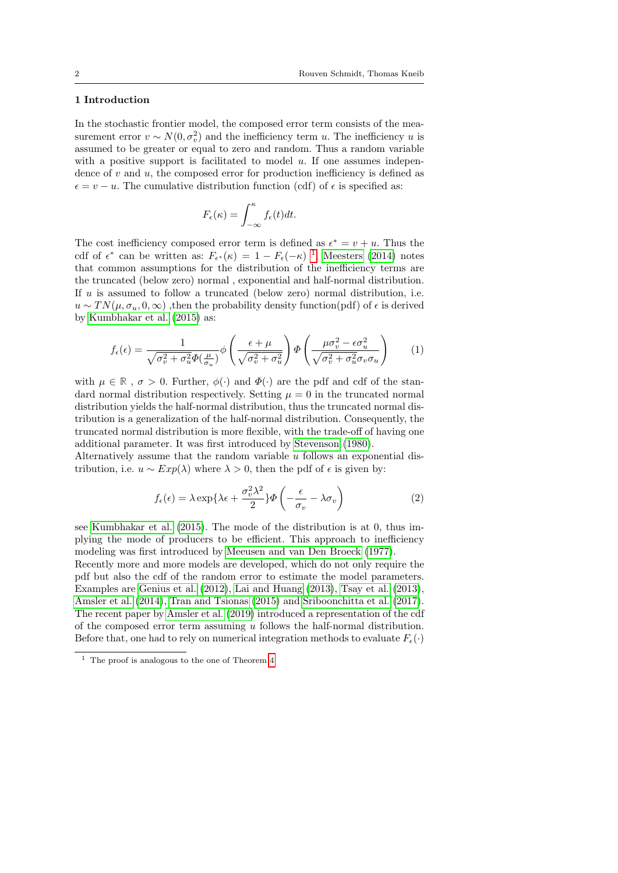## 1 Introduction

In the stochastic frontier model, the composed error term consists of the measurement error  $v \sim N(0, \sigma_v^2)$  and the inefficiency term u. The inefficiency u is assumed to be greater or equal to zero and random. Thus a random variable with a positive support is facilitated to model  $u$ . If one assumes independence of  $v$  and  $u$ , the composed error for production inefficiency is defined as  $\epsilon = v - u$ . The cumulative distribution function (cdf) of  $\epsilon$  is specified as:

$$
F_{\epsilon}(\kappa) = \int_{-\infty}^{\kappa} f_{\epsilon}(t) dt.
$$

The cost inefficiency composed error term is defined as  $\epsilon^* = v + u$ . Thus the cdf of  $\epsilon^*$  can be written as:  $F_{\epsilon^*}(\kappa) = 1 - F_{\epsilon}(-\kappa)^{-1}$  $F_{\epsilon^*}(\kappa) = 1 - F_{\epsilon}(-\kappa)^{-1}$  $F_{\epsilon^*}(\kappa) = 1 - F_{\epsilon}(-\kappa)^{-1}$ . [Meesters](#page-17-0) [\(2014\)](#page-17-0) notes that common assumptions for the distribution of the inefficiency terms are the truncated (below zero) normal , exponential and half-normal distribution. If u is assumed to follow a truncated (below zero) normal distribution, i.e.  $u \sim TN(\mu, \sigma_u, 0, \infty)$ , then the probability density function(pdf) of  $\epsilon$  is derived by [Kumbhakar et al.](#page-17-1) [\(2015\)](#page-17-1) as:

<span id="page-1-1"></span>
$$
f_{\epsilon}(\epsilon) = \frac{1}{\sqrt{\sigma_v^2 + \sigma_u^2} \Phi(\frac{\mu}{\sigma_u})} \phi \left( \frac{\epsilon + \mu}{\sqrt{\sigma_v^2 + \sigma_u^2}} \right) \Phi \left( \frac{\mu \sigma_v^2 - \epsilon \sigma_u^2}{\sqrt{\sigma_v^2 + \sigma_u^2} \sigma_v \sigma_u} \right)
$$
(1)

with  $\mu \in \mathbb{R}$ ,  $\sigma > 0$ . Further,  $\phi(\cdot)$  and  $\Phi(\cdot)$  are the pdf and cdf of the standard normal distribution respectively. Setting  $\mu = 0$  in the truncated normal distribution yields the half-normal distribution, thus the truncated normal distribution is a generalization of the half-normal distribution. Consequently, the truncated normal distribution is more flexible, with the trade-off of having one additional parameter. It was first introduced by [Stevenson](#page-17-2) [\(1980\)](#page-17-2).

Alternatively assume that the random variable  $u$  follows an exponential distribution, i.e.  $u \sim Exp(\lambda)$  where  $\lambda > 0$ , then the pdf of  $\epsilon$  is given by:

<span id="page-1-2"></span>
$$
f_{\epsilon}(\epsilon) = \lambda \exp\{\lambda \epsilon + \frac{\sigma_v^2 \lambda^2}{2}\} \Phi\left(-\frac{\epsilon}{\sigma_v} - \lambda \sigma_v\right)
$$
 (2)

see [Kumbhakar et al.](#page-17-1) [\(2015\)](#page-17-1). The mode of the distribution is at 0, thus implying the mode of producers to be efficient. This approach to inefficiency modeling was first introduced by [Meeusen and van Den Broeck](#page-17-3) [\(1977\)](#page-17-3).

Recently more and more models are developed, which do not only require the pdf but also the cdf of the random error to estimate the model parameters. Examples are [Genius et al.](#page-17-4)  $(2012)$ , [Lai and Huang](#page-17-5)  $(2013)$ , [Tsay et al.](#page-17-6)  $(2013)$ , [Amsler et al.](#page-17-7) [\(2014\)](#page-17-7), [Tran and Tsionas](#page-17-8) [\(2015\)](#page-17-8) and [Sriboonchitta et al.](#page-17-9) [\(2017\)](#page-17-9). The recent paper by [Amsler et al.](#page-17-10) [\(2019\)](#page-17-10) introduced a representation of the cdf of the composed error term assuming  $u$  follows the half-normal distribution. Before that, one had to rely on numerical integration methods to evaluate  $F_{\epsilon}(\cdot)$ 

<span id="page-1-0"></span> $^{\rm 1}$  The proof is analogous to the one of Theorem  $4$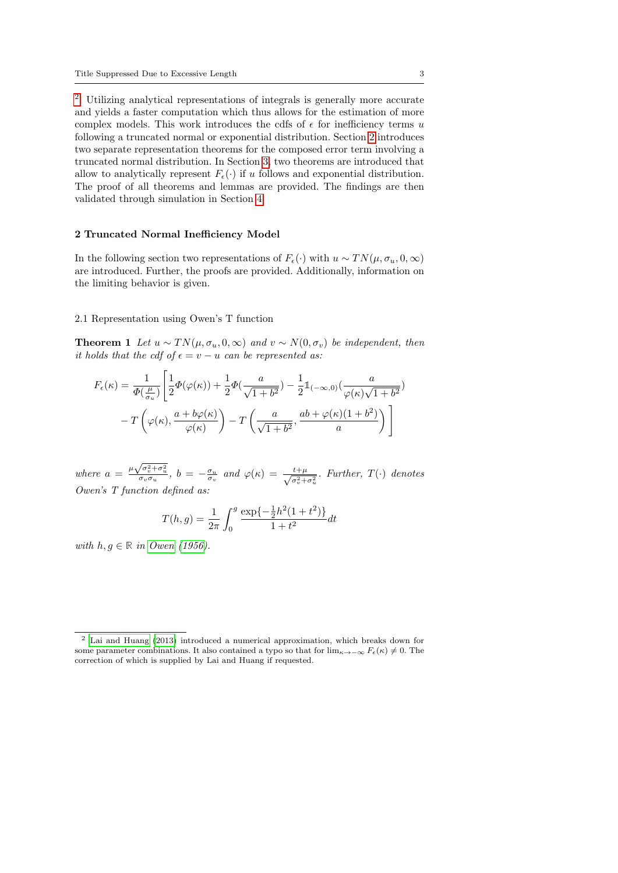[2](#page-2-0) . Utilizing analytical representations of integrals is generally more accurate and yields a faster computation which thus allows for the estimation of more complex models. This work introduces the cdfs of  $\epsilon$  for inefficiency terms u following a truncated normal or exponential distribution. Section [2](#page-2-1) introduces two separate representation theorems for the composed error term involving a truncated normal distribution. In Section [3,](#page-8-0) two theorems are introduced that allow to analytically represent  $F_{\epsilon}(\cdot)$  if u follows and exponential distribution. The proof of all theorems and lemmas are provided. The findings are then validated through simulation in Section [4.](#page-11-0)

#### <span id="page-2-1"></span>2 Truncated Normal Inefficiency Model

In the following section two representations of  $F_{\epsilon}(\cdot)$  with  $u \sim TN(\mu, \sigma_u, 0, \infty)$ are introduced. Further, the proofs are provided. Additionally, information on the limiting behavior is given.

#### 2.1 Representation using Owen's T function

<span id="page-2-2"></span>**Theorem 1** Let  $u \sim TN(\mu, \sigma_u, 0, \infty)$  and  $v \sim N(0, \sigma_v)$  be independent, then it holds that the cdf of  $\epsilon = v - u$  can be represented as:

$$
F_{\epsilon}(\kappa) = \frac{1}{\Phi(\frac{\mu}{\sigma_u})} \left[ \frac{1}{2} \Phi(\varphi(\kappa)) + \frac{1}{2} \Phi(\frac{a}{\sqrt{1+b^2}}) - \frac{1}{2} \mathbb{1}_{(-\infty,0)} \left( \frac{a}{\varphi(\kappa)\sqrt{1+b^2}} \right) \right]
$$

$$
-T\left(\varphi(\kappa), \frac{a+b\varphi(\kappa)}{\varphi(\kappa)}\right) - T\left(\frac{a}{\sqrt{1+b^2}}, \frac{ab+\varphi(\kappa)(1+b^2)}{a}\right) \right]
$$

where  $a = \frac{\mu \sqrt{\sigma_v^2 + \sigma_u^2}}{\sigma_v \sigma_u}$ ,  $b = -\frac{\sigma_u}{\sigma_v}$  and  $\varphi(\kappa) = \frac{t+\mu}{\sqrt{\sigma_v^2 + \sigma_u^2}}$ . Further,  $T(\cdot)$  denotes Owen's T function defined as:

$$
T(h,g) = \frac{1}{2\pi} \int_0^g \frac{\exp\{-\frac{1}{2}h^2(1+t^2)\}}{1+t^2} dt
$$

with  $h, g \in \mathbb{R}$  in [Owen](#page-17-11) [\(1956\)](#page-17-11).

<span id="page-2-0"></span><sup>2</sup> [Lai and Huang](#page-17-5) [\(2013\)](#page-17-5) introduced a numerical approximation, which breaks down for some parameter combinations. It also contained a typo so that for  $\lim_{\kappa \to -\infty} F_{\epsilon}(\kappa) \neq 0$ . The correction of which is supplied by Lai and Huang if requested.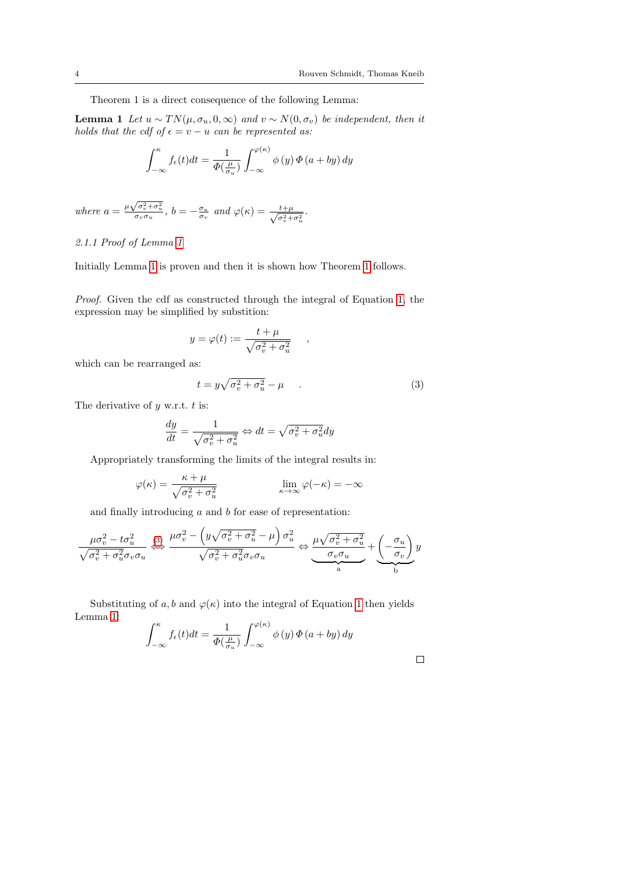Theorem 1 is a direct consequence of the following Lemma:

**Lemma 1** Let  $u \sim TN(\mu, \sigma_u, 0, \infty)$  and  $v \sim N(0, \sigma_v)$  be independent, then it holds that the cdf of  $\epsilon = v - u$  can be represented as:

<span id="page-3-0"></span>
$$
\int_{-\infty}^{\kappa} f_{\epsilon}(t)dt = \frac{1}{\Phi(\frac{\mu}{\sigma_u})} \int_{-\infty}^{\varphi(\kappa)} \phi(y) \Phi(a + by) dy
$$

where  $a = \frac{\mu \sqrt{\sigma_v^2 + \sigma_u^2}}{\sigma_v \sigma_u}$ ,  $b = -\frac{\sigma_u}{\sigma_v}$  and  $\varphi(\kappa) = \frac{t + \mu}{\sqrt{\sigma_v^2 + \sigma_u^2}}$ .

## 2.1.1 Proof of Lemma [1](#page-3-0)

Initially Lemma [1](#page-3-0) is proven and then it is shown how Theorem [1](#page-2-2) follows.

Proof. Given the cdf as constructed through the integral of Equation [1,](#page-1-1) the expression may be simplified by substition:

$$
y = \varphi(t) := \frac{t + \mu}{\sqrt{\sigma_v^2 + \sigma_u^2}}
$$

which can be rearranged as:

<span id="page-3-1"></span>
$$
t = y\sqrt{\sigma_v^2 + \sigma_u^2} - \mu \tag{3}
$$

,

The derivative of  $y$  w.r.t.  $t$  is:

$$
\frac{dy}{dt} = \frac{1}{\sqrt{\sigma_v^2 + \sigma_u^2}} \Leftrightarrow dt = \sqrt{\sigma_v^2 + \sigma_u^2} dy
$$

Appropriately transforming the limits of the integral results in:

$$
\varphi(\kappa) = \frac{\kappa + \mu}{\sqrt{\sigma_v^2 + \sigma_u^2}} \qquad \qquad \lim_{\kappa \to \infty} \varphi(-\kappa) = -\infty
$$

and finally introducing  $a$  and  $b$  for ease of representation:

$$
\frac{\mu\sigma_v^2 - t\sigma_u^2}{\sqrt{\sigma_v^2 + \sigma_u^2}\sigma_v\sigma_u} \stackrel{\text{(3)}}{\longleftrightarrow} \frac{\mu\sigma_v^2 - \left(y\sqrt{\sigma_v^2 + \sigma_u^2} - \mu\right)\sigma_u^2}{\sqrt{\sigma_v^2 + \sigma_u^2}\sigma_v\sigma_u} \Leftrightarrow \underbrace{\frac{\mu\sqrt{\sigma_v^2 + \sigma_u^2}}{\sigma_v\sigma_u}}_{\text{a}} + \underbrace{\left(-\frac{\sigma_u}{\sigma_v}\right)}_{\text{b}} y
$$

 $\ddot{\phantom{0}}$ 

Substituting of a, b and  $\varphi(\kappa)$  into the integral of Equation [1](#page-1-1) then yields Lemma [1:](#page-3-0)

$$
\int_{-\infty}^{\kappa} f_{\epsilon}(t)dt = \frac{1}{\Phi(\frac{\mu}{\sigma_u})} \int_{-\infty}^{\varphi(\kappa)} \phi(y) \Phi(a + by) dy
$$

 $\Box$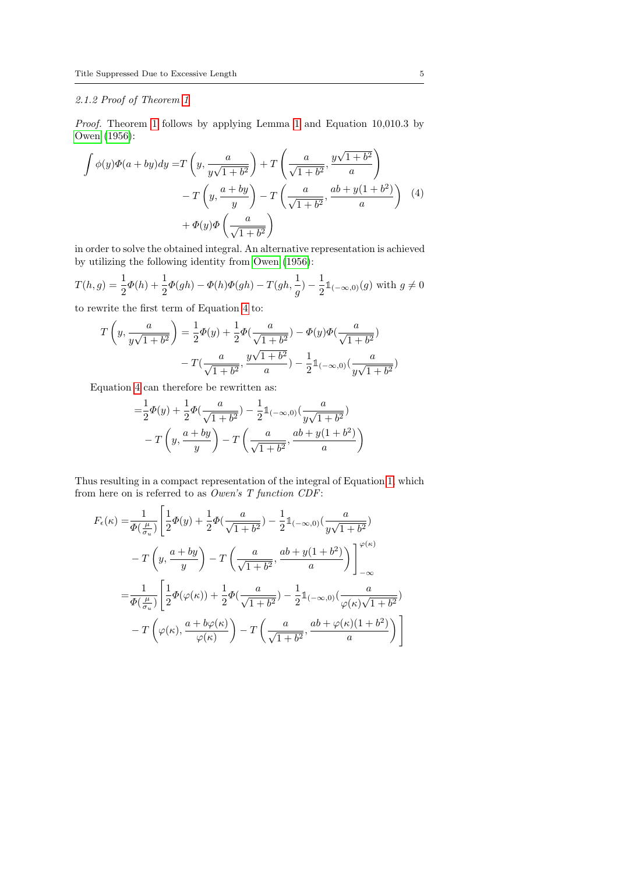## 2.1.2 Proof of Theorem [1](#page-2-2)

Proof. Theorem [1](#page-3-0) follows by applying Lemma 1 and Equation 10,010.3 by [Owen](#page-17-11) [\(1956\)](#page-17-11):

<span id="page-4-0"></span>
$$
\int \phi(y)\Phi(a+by)dy = T\left(y, \frac{a}{y\sqrt{1+b^2}}\right) + T\left(\frac{a}{\sqrt{1+b^2}}, \frac{y\sqrt{1+b^2}}{a}\right)
$$

$$
-T\left(y, \frac{a+by}{y}\right) - T\left(\frac{a}{\sqrt{1+b^2}}, \frac{ab+y(1+b^2)}{a}\right) \quad (4)
$$

$$
+\Phi(y)\Phi\left(\frac{a}{\sqrt{1+b^2}}\right)
$$

in order to solve the obtained integral. An alternative representation is achieved by utilizing the following identity from [Owen](#page-17-11) [\(1956\)](#page-17-11):

$$
T(h,g) = \frac{1}{2}\Phi(h) + \frac{1}{2}\Phi(gh) - \Phi(h)\Phi(gh) - T(gh, \frac{1}{g}) - \frac{1}{2}\mathbb{1}_{(-\infty,0)}(g) \text{ with } g \neq 0
$$

to rewrite the first term of Equation [4](#page-4-0) to:

$$
T\left(y, \frac{a}{y\sqrt{1+b^2}}\right) = \frac{1}{2}\Phi(y) + \frac{1}{2}\Phi(\frac{a}{\sqrt{1+b^2}}) - \Phi(y)\Phi(\frac{a}{\sqrt{1+b^2}}) - T(\frac{a}{\sqrt{1+b^2}}, \frac{y\sqrt{1+b^2}}{a}) - \frac{1}{2}\mathbb{1}_{(-\infty, 0)}(\frac{a}{y\sqrt{1+b^2}})
$$

Equation [4](#page-4-0) can therefore be rewritten as:

$$
=\frac{1}{2}\Phi(y) + \frac{1}{2}\Phi(\frac{a}{\sqrt{1+b^2}}) - \frac{1}{2}\mathbb{1}_{(-\infty,0)}(\frac{a}{y\sqrt{1+b^2}}) - T\left(y,\frac{a+by}{y}\right) - T\left(\frac{a}{\sqrt{1+b^2}},\frac{ab+y(1+b^2)}{a}\right)
$$

Thus resulting in a compact representation of the integral of Equation [1,](#page-1-1) which from here on is referred to as Owen's T function CDF:

$$
F_{\epsilon}(\kappa) = \frac{1}{\Phi(\frac{\mu}{\sigma_u})} \left[ \frac{1}{2} \Phi(y) + \frac{1}{2} \Phi(\frac{a}{\sqrt{1+b^2}}) - \frac{1}{2} \mathbb{1}_{(-\infty,0)} (\frac{a}{y\sqrt{1+b^2}}) \right]
$$
  

$$
-T\left(y, \frac{a+by}{y}\right) - T\left(\frac{a}{\sqrt{1+b^2}}, \frac{ab+y(1+b^2)}{a}\right) \Big]_{-\infty}^{\varphi(\kappa)}
$$
  

$$
= \frac{1}{\Phi(\frac{\mu}{\sigma_u})} \left[ \frac{1}{2} \Phi(\varphi(\kappa)) + \frac{1}{2} \Phi(\frac{a}{\sqrt{1+b^2}}) - \frac{1}{2} \mathbb{1}_{(-\infty,0)} (\frac{a}{\varphi(\kappa)\sqrt{1+b^2}}) \right]
$$
  

$$
-T\left(\varphi(\kappa), \frac{a+b\varphi(\kappa)}{\varphi(\kappa)}\right) - T\left(\frac{a}{\sqrt{1+b^2}}, \frac{ab+\varphi(\kappa)(1+b^2)}{a}\right) \Big]
$$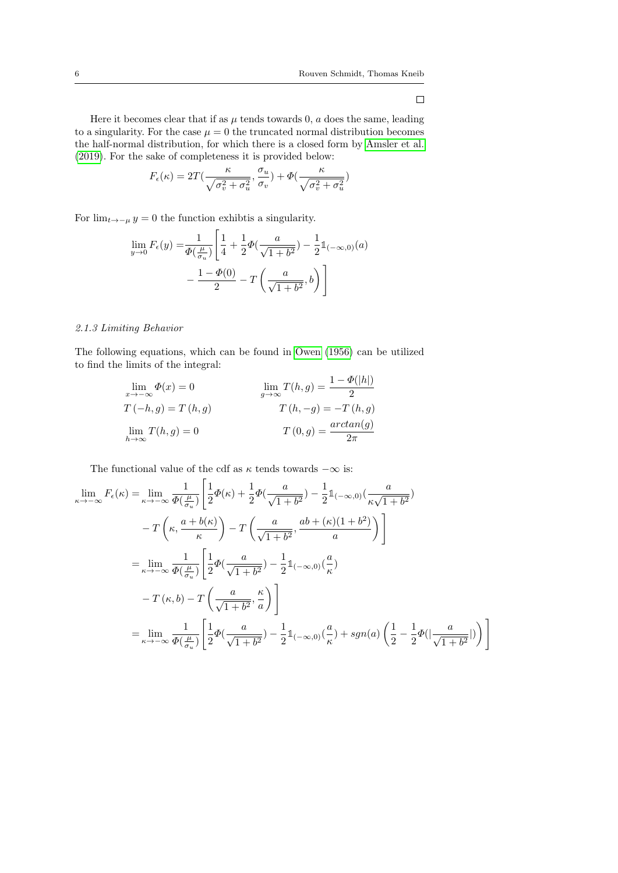$\Box$ 

Here it becomes clear that if as  $\mu$  tends towards 0,  $a$  does the same, leading to a singularity. For the case  $\mu = 0$  the truncated normal distribution becomes the half-normal distribution, for which there is a closed form by [Amsler et al.](#page-17-10) [\(2019\)](#page-17-10). For the sake of completeness it is provided below:

$$
F_{\epsilon}(\kappa) = 2T\left(\frac{\kappa}{\sqrt{\sigma_v^2 + \sigma_u^2}}, \frac{\sigma_u}{\sigma_v}\right) + \Phi\left(\frac{\kappa}{\sqrt{\sigma_v^2 + \sigma_u^2}}\right)
$$

For  $\lim_{t\to-\mu} y = 0$  the function exhibtis a singularity.

$$
\lim_{y \to 0} F_{\epsilon}(y) = \frac{1}{\Phi(\frac{\mu}{\sigma_u})} \left[ \frac{1}{4} + \frac{1}{2} \Phi(\frac{a}{\sqrt{1+b^2}}) - \frac{1}{2} \mathbb{1}_{(-\infty,0)}(a) - \frac{1 - \Phi(0)}{2} - T\left(\frac{a}{\sqrt{1+b^2}}, b\right) \right]
$$

## 2.1.3 Limiting Behavior

The following equations, which can be found in [Owen](#page-17-11) [\(1956\)](#page-17-11) can be utilized to find the limits of the integral:

$$
\lim_{x \to -\infty} \Phi(x) = 0
$$
\n
$$
\lim_{g \to \infty} T(h, g) = \frac{1 - \Phi(|h|)}{2}
$$
\n
$$
T(-h, g) = T(h, g)
$$
\n
$$
\lim_{h \to \infty} T(h, g) = 0
$$
\n
$$
T(0, g) = \frac{\arctan(g)}{2\pi}
$$

The functional value of the cdf as  $\kappa$  tends towards  $-\infty$  is:

$$
\lim_{\kappa \to -\infty} F_{\epsilon}(\kappa) = \lim_{\kappa \to -\infty} \frac{1}{\Phi(\frac{\mu}{\sigma_u})} \left[ \frac{1}{2} \Phi(\kappa) + \frac{1}{2} \Phi(\frac{a}{\sqrt{1+b^2}}) - \frac{1}{2} \mathbb{1}_{(-\infty,0)} (\frac{a}{\kappa \sqrt{1+b^2}}) \right]
$$
  

$$
- T\left(\kappa, \frac{a+b(\kappa)}{\kappa}\right) - T\left(\frac{a}{\sqrt{1+b^2}}, \frac{ab+(\kappa)(1+b^2)}{a}\right) \right]
$$
  

$$
= \lim_{\kappa \to -\infty} \frac{1}{\Phi(\frac{\mu}{\sigma_u})} \left[ \frac{1}{2} \Phi(\frac{a}{\sqrt{1+b^2}}) - \frac{1}{2} \mathbb{1}_{(-\infty,0)} (\frac{a}{\kappa}) \right]
$$
  

$$
- T(\kappa, b) - T\left(\frac{a}{\sqrt{1+b^2}}, \frac{\kappa}{a}\right) \right]
$$
  

$$
= \lim_{\kappa \to -\infty} \frac{1}{\Phi(\frac{\mu}{\sigma_u})} \left[ \frac{1}{2} \Phi(\frac{a}{\sqrt{1+b^2}}) - \frac{1}{2} \mathbb{1}_{(-\infty,0)} (\frac{a}{\kappa}) + sgn(a) \left(\frac{1}{2} - \frac{1}{2} \Phi(\frac{a}{\sqrt{1+b^2}}) \right) \right]
$$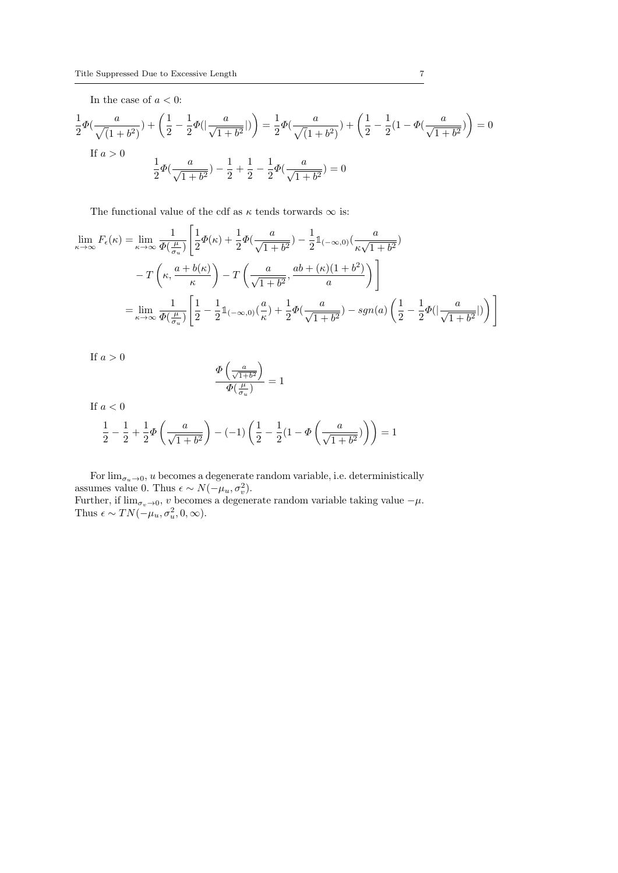In the case of  $a<0\mathrm{:}$ 

$$
\frac{1}{2}\Phi\left(\frac{a}{\sqrt{(1+b^2)}}\right) + \left(\frac{1}{2} - \frac{1}{2}\Phi\left(\frac{a}{\sqrt{1+b^2}}\right)\right) = \frac{1}{2}\Phi\left(\frac{a}{\sqrt{(1+b^2)}}\right) + \left(\frac{1}{2} - \frac{1}{2}(1-\Phi\left(\frac{a}{\sqrt{1+b^2}}\right)\right) = 0
$$
  
If  $a > 0$   

$$
\frac{1}{2}\Phi\left(\frac{a}{\sqrt{1+b^2}}\right) - \frac{1}{2} + \frac{1}{2} - \frac{1}{2}\Phi\left(\frac{a}{\sqrt{1+b^2}}\right) = 0
$$

The functional value of the cdf as  $\kappa$  tends torwards  $\infty$  is:

$$
\lim_{\kappa \to \infty} F_{\epsilon}(\kappa) = \lim_{\kappa \to \infty} \frac{1}{\Phi(\frac{\mu}{\sigma_u})} \left[ \frac{1}{2} \Phi(\kappa) + \frac{1}{2} \Phi(\frac{a}{\sqrt{1+b^2}}) - \frac{1}{2} \mathbb{1}_{(-\infty,0)} (\frac{a}{\kappa \sqrt{1+b^2}}) \right]
$$
  

$$
- T\left(\kappa, \frac{a+b(\kappa)}{\kappa}\right) - T\left(\frac{a}{\sqrt{1+b^2}}, \frac{ab+(\kappa)(1+b^2)}{a}\right) \right]
$$
  

$$
= \lim_{\kappa \to \infty} \frac{1}{\Phi(\frac{\mu}{\sigma_u})} \left[ \frac{1}{2} - \frac{1}{2} \mathbb{1}_{(-\infty,0)} (\frac{a}{\kappa}) + \frac{1}{2} \Phi(\frac{a}{\sqrt{1+b^2}}) - sgn(a) \left(\frac{1}{2} - \frac{1}{2} \Phi(\frac{a}{\sqrt{1+b^2}}) \right) \right]
$$

If  $a > 0$ 

$$
\frac{\varPhi\left(\frac{a}{\sqrt{1+b^2}}\right)}{\varPhi(\frac{\mu}{\sigma_u})} = 1
$$

If  $a < 0$ 

$$
\frac{1}{2} - \frac{1}{2} + \frac{1}{2}\Phi\left(\frac{a}{\sqrt{1+b^2}}\right) - (-1)\left(\frac{1}{2} - \frac{1}{2}(1-\Phi\left(\frac{a}{\sqrt{1+b^2}}\right)\right) = 1
$$

For  $\lim_{\sigma_u \to 0}$ , u becomes a degenerate random variable, i.e. deterministically assumes value 0. Thus  $\epsilon \sim N(-\mu_u, \sigma_v^2)$ .

Further, if  $\lim_{\sigma_v \to 0} v$  becomes a degenerate random variable taking value  $-\mu$ . Thus  $\epsilon \sim TN(-\mu_u, \sigma_u^2, 0, \infty).$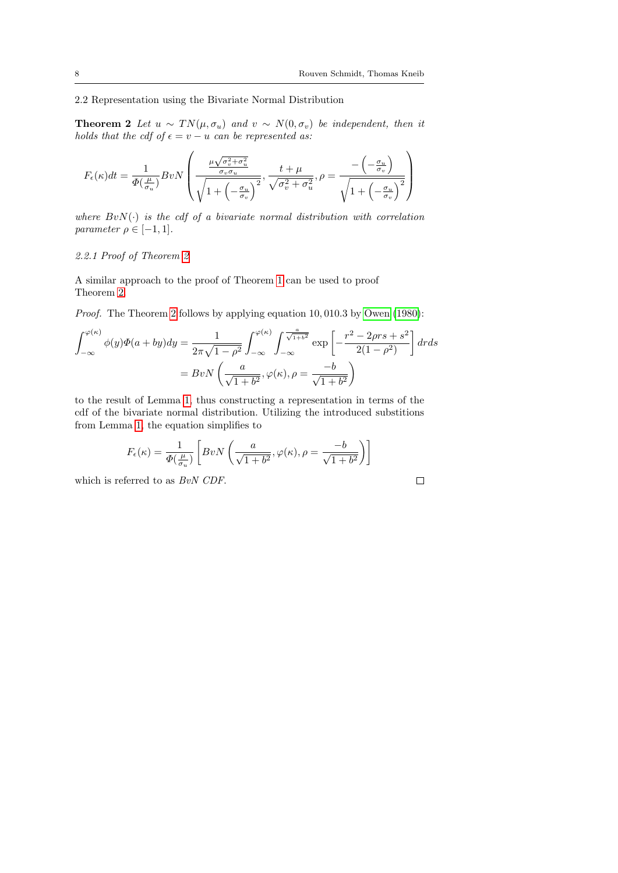2.2 Representation using the Bivariate Normal Distribution

<span id="page-7-0"></span>**Theorem 2** Let  $u \sim TN(\mu, \sigma_u)$  and  $v \sim N(0, \sigma_v)$  be independent, then it holds that the cdf of  $\epsilon = v - u$  can be represented as:

$$
F_{\epsilon}(\kappa)dt = \frac{1}{\Phi(\frac{\mu}{\sigma_u})}BvN\left(\frac{\frac{\mu\sqrt{\sigma_v^2 + \sigma_u^2}}{\sigma_v\sigma_u}}{\sqrt{1 + \left(-\frac{\sigma_u}{\sigma_v}\right)^2}}, \frac{t + \mu}{\sqrt{\sigma_v^2 + \sigma_u^2}}, \rho = \frac{-\left(-\frac{\sigma_u}{\sigma_v}\right)}{\sqrt{1 + \left(-\frac{\sigma_u}{\sigma_v}\right)^2}}\right)
$$

where  $BvN(\cdot)$  is the cdf of a bivariate normal distribution with correlation parameter  $\rho \in [-1, 1]$ .

## 2.2.1 Proof of Theorem [2](#page-7-0)

A similar approach to the proof of Theorem [1](#page-2-2) can be used to proof Theorem [2.](#page-7-0)

Proof. The Theorem [2](#page-7-0) follows by applying equation 10, 010.3 by [Owen](#page-17-12) [\(1980\)](#page-17-12):

$$
\int_{-\infty}^{\varphi(\kappa)} \phi(y)\Phi(a+by)dy = \frac{1}{2\pi\sqrt{1-\rho^2}} \int_{-\infty}^{\varphi(\kappa)} \int_{-\infty}^{\frac{a}{\sqrt{1+b^2}}} \exp\left[-\frac{r^2 - 2\rho rs + s^2}{2(1-\rho^2)}\right] dr ds
$$

$$
= BvN\left(\frac{a}{\sqrt{1+b^2}}, \varphi(\kappa), \rho = \frac{-b}{\sqrt{1+b^2}}\right)
$$

to the result of Lemma [1,](#page-3-0) thus constructing a representation in terms of the cdf of the bivariate normal distribution. Utilizing the introduced substitions from Lemma [1,](#page-3-0) the equation simplifies to

$$
F_{\epsilon}(\kappa) = \frac{1}{\Phi(\frac{\mu}{\sigma_u})} \left[ BvN\left(\frac{a}{\sqrt{1+b^2}}, \varphi(\kappa), \rho = \frac{-b}{\sqrt{1+b^2}} \right) \right]
$$

which is referred to as  $BvN$  CDF.

 $\Box$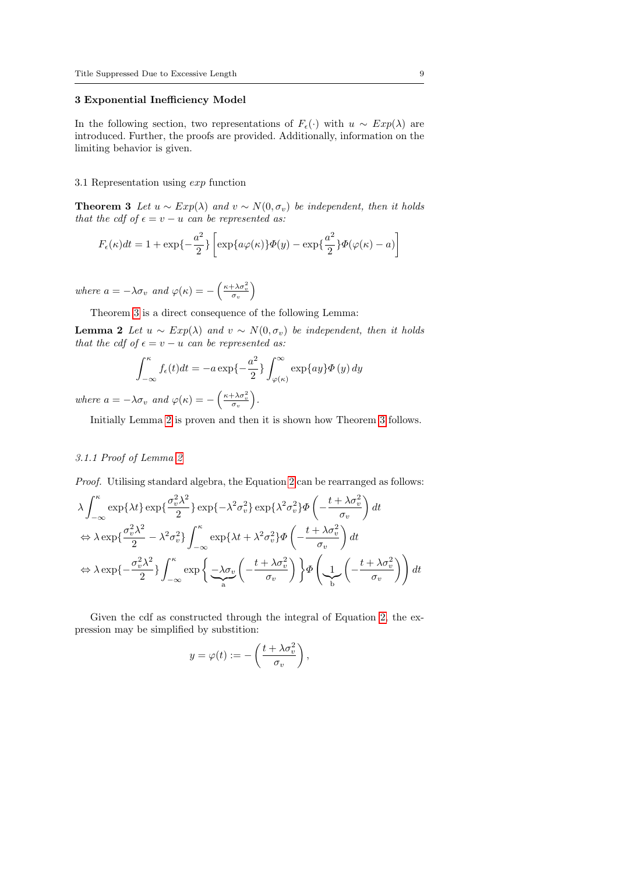#### <span id="page-8-0"></span>3 Exponential Inefficiency Model

In the following section, two representations of  $F_{\epsilon}(\cdot)$  with  $u \sim Exp(\lambda)$  are introduced. Further, the proofs are provided. Additionally, information on the limiting behavior is given.

#### 3.1 Representation using exp function

<span id="page-8-1"></span>**Theorem 3** Let  $u \sim Exp(\lambda)$  and  $v \sim N(0, \sigma_v)$  be independent, then it holds that the cdf of  $\epsilon = v - u$  can be represented as:

$$
F_{\epsilon}(\kappa)dt = 1 + \exp\{-\frac{a^2}{2}\}\left[\exp\{a\varphi(\kappa)\}\Phi(y) - \exp\{\frac{a^2}{2}\}\Phi(\varphi(\kappa) - a)\right]
$$

where  $a = -\lambda \sigma_v$  and  $\varphi(\kappa) = -\left(\frac{\kappa + \lambda \sigma_v^2}{\sigma_v}\right)$ 

Theorem [3](#page-8-1) is a direct consequence of the following Lemma:

**Lemma 2** Let  $u \sim Exp(\lambda)$  and  $v \sim N(0, \sigma_v)$  be independent, then it holds that the cdf of  $\epsilon = v - u$  can be represented as:

<span id="page-8-2"></span>
$$
\int_{-\infty}^{\kappa} f_{\epsilon}(t)dt = -a \exp\{-\frac{a^2}{2}\}\int_{\varphi(\kappa)}^{\infty} \exp\{ay\}\Phi(y) dy
$$

where  $a = -\lambda \sigma_v$  and  $\varphi(\kappa) = -\left(\frac{\kappa + \lambda \sigma_v^2}{\sigma_v}\right)$ .

Initially Lemma [2](#page-8-2) is proven and then it is shown how Theorem [3](#page-8-1) follows.

#### 3.1.1 Proof of Lemma [2](#page-8-2)

Proof. Utilising standard algebra, the Equation [2](#page-1-2) can be rearranged as follows:

$$
\lambda \int_{-\infty}^{\kappa} \exp\{\lambda t\} \exp\{\frac{\sigma_v^2 \lambda^2}{2}\} \exp\{-\lambda^2 \sigma_v^2\} \exp\{\lambda^2 \sigma_v^2\} \Phi\left(-\frac{t + \lambda \sigma_v^2}{\sigma_v}\right) dt
$$
  
\n
$$
\Leftrightarrow \lambda \exp\{\frac{\sigma_v^2 \lambda^2}{2} - \lambda^2 \sigma_v^2\} \int_{-\infty}^{\kappa} \exp\{\lambda t + \lambda^2 \sigma_v^2\} \Phi\left(-\frac{t + \lambda \sigma_v^2}{\sigma_v}\right) dt
$$
  
\n
$$
\Leftrightarrow \lambda \exp\{-\frac{\sigma_v^2 \lambda^2}{2}\} \int_{-\infty}^{\kappa} \exp\{\frac{\lambda \sigma_v}{\lambda} \left(-\frac{t + \lambda \sigma_v^2}{\sigma_v}\right)\} \Phi\left(\frac{1}{\lambda} \left(-\frac{t + \lambda \sigma_v^2}{\sigma_v}\right)\right) dt
$$

Given the cdf as constructed through the integral of Equation [2,](#page-1-2) the expression may be simplified by substition:

$$
y = \varphi(t) := -\left(\frac{t + \lambda \sigma_v^2}{\sigma_v}\right),
$$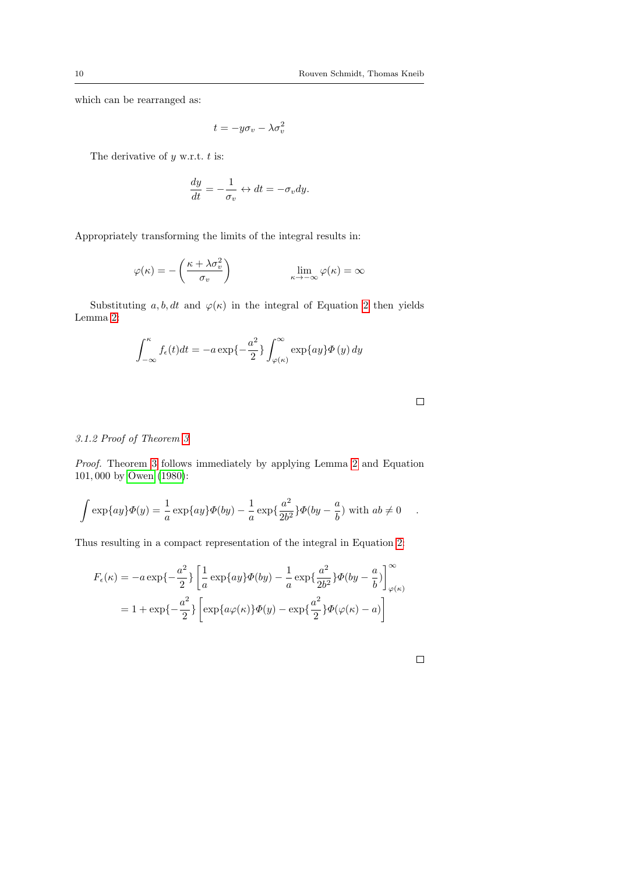which can be rearranged as:

$$
t = -y\sigma_v - \lambda \sigma_v^2
$$

The derivative of  $y$  w.r.t.  $t$  is:

$$
\frac{dy}{dt} = -\frac{1}{\sigma_v} \leftrightarrow dt = -\sigma_v dy.
$$

Appropriately transforming the limits of the integral results in:

$$
\varphi(\kappa) = -\left(\frac{\kappa + \lambda \sigma_v^2}{\sigma_v}\right) \qquad \qquad \lim_{\kappa \to -\infty} \varphi(\kappa) = \infty
$$

Substituting a, b, dt and  $\varphi(\kappa)$  in the integral of Equation [2](#page-1-2) then yields Lemma [2:](#page-8-2)

$$
\int_{-\infty}^{\kappa} f_{\epsilon}(t)dt = -a \exp\{-\frac{a^2}{2}\}\int_{\varphi(\kappa)}^{\infty} \exp\{ay\}\Phi(y) dy
$$

 $\Box$ 

## 3.1.2 Proof of Theorem [3](#page-8-1)

Proof. Theorem [3](#page-8-1) follows immediately by applying Lemma [2](#page-8-2) and Equation 101, 000 by [Owen](#page-17-12) [\(1980\)](#page-17-12):

$$
\int \exp\{ay\}\Phi(y) = \frac{1}{a}\exp\{ay\}\Phi(by) - \frac{1}{a}\exp\{\frac{a^2}{2b^2}\}\Phi(by - \frac{a}{b}) \text{ with } ab \neq 0 \quad .
$$

Thus resulting in a compact representation of the integral in Equation [2:](#page-1-2)

$$
F_{\epsilon}(\kappa) = -a \exp\left\{-\frac{a^2}{2}\right\} \left[\frac{1}{a} \exp\{ay\} \Phi(by) - \frac{1}{a} \exp\left\{\frac{a^2}{2b^2}\} \Phi(by - \frac{a}{b})\right]_{\varphi(\kappa)}^{\infty}
$$

$$
= 1 + \exp\left\{-\frac{a^2}{2}\right\} \left[\exp\{a\varphi(\kappa)\} \Phi(y) - \exp\left\{\frac{a^2}{2}\} \Phi(\varphi(\kappa) - a)\right]\right]
$$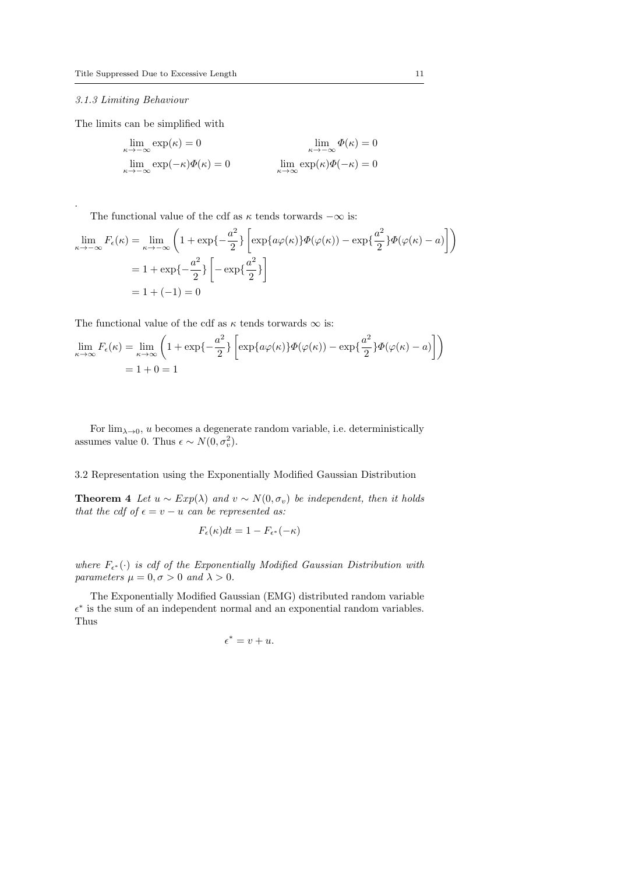#### 3.1.3 Limiting Behaviour

.

The limits can be simplified with

$$
\lim_{\kappa \to -\infty} \exp(\kappa) = 0
$$
\n
$$
\lim_{\kappa \to -\infty} \exp(-\kappa)\Phi(\kappa) = 0
$$
\n
$$
\lim_{\kappa \to -\infty} \exp(\kappa)\Phi(-\kappa) = 0
$$
\n
$$
\lim_{\kappa \to \infty} \exp(\kappa)\Phi(-\kappa) = 0
$$

The functional value of the cdf as  $\kappa$  tends torwards  $-\infty$  is:

$$
\lim_{\kappa \to -\infty} F_{\epsilon}(\kappa) = \lim_{\kappa \to -\infty} \left( 1 + \exp\{-\frac{a^2}{2}\} \left[ \exp\{a\varphi(\kappa)\} \Phi(\varphi(\kappa)) - \exp\{\frac{a^2}{2}\} \Phi(\varphi(\kappa) - a) \right] \right)
$$

$$
= 1 + \exp\{-\frac{a^2}{2}\} \left[ -\exp\{\frac{a^2}{2}\} \right]
$$

$$
= 1 + (-1) = 0
$$

The functional value of the cdf as  $\kappa$  tends torwards  $\infty$  is:

$$
\lim_{\kappa \to \infty} F_{\epsilon}(\kappa) = \lim_{\kappa \to \infty} \left( 1 + \exp\{-\frac{a^2}{2}\} \left[ \exp\{a\varphi(\kappa)\} \Phi(\varphi(\kappa)) - \exp\{\frac{a^2}{2}\} \Phi(\varphi(\kappa) - a) \right] \right)
$$
  
= 1 + 0 = 1

For  $\lim_{\lambda\to 0}$ , u becomes a degenerate random variable, i.e. deterministically assumes value 0. Thus  $\epsilon \sim N(0, \sigma_v^2)$ .

3.2 Representation using the Exponentially Modified Gaussian Distribution

<span id="page-10-0"></span>**Theorem 4** Let  $u \sim Exp(\lambda)$  and  $v \sim N(0, \sigma_v)$  be independent, then it holds that the cdf of  $\epsilon = v - u$  can be represented as:

$$
F_{\epsilon}(\kappa)dt = 1 - F_{\epsilon^*}(-\kappa)
$$

where  $F_{\epsilon^*}(\cdot)$  is cdf of the Exponentially Modified Gaussian Distribution with parameters  $\mu = 0, \sigma > 0$  and  $\lambda > 0$ .

The Exponentially Modified Gaussian (EMG) distributed random variable  $\epsilon^*$  is the sum of an independent normal and an exponential random variables. Thus

$$
\epsilon^*=v+u.
$$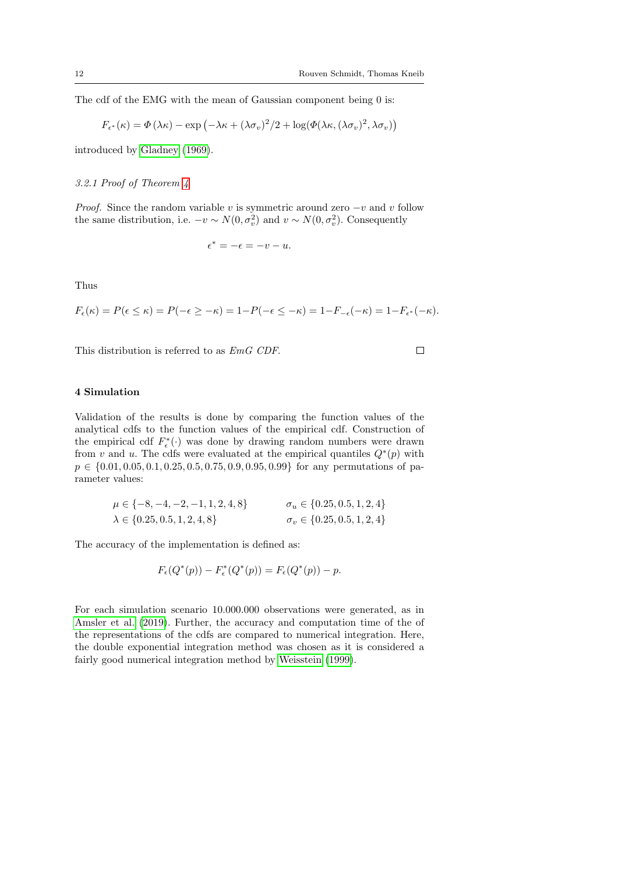The cdf of the EMG with the mean of Gaussian component being 0 is:

$$
F_{\epsilon^*}(\kappa) = \Phi(\lambda \kappa) - \exp(-\lambda \kappa + (\lambda \sigma_v)^2/2 + \log(\Phi(\lambda \kappa, (\lambda \sigma_v)^2, \lambda \sigma_v))
$$

introduced by [Gladney](#page-17-13) [\(1969\)](#page-17-13).

3.2.1 Proof of Theorem [4](#page-10-0)

*Proof.* Since the random variable v is symmetric around zero  $-v$  and v follow the same distribution, i.e.  $-v \sim N(0, \sigma_v^2)$  and  $v \sim N(0, \sigma_v^2)$ . Consequently

$$
\epsilon^* = -\epsilon = -v - u.
$$

Thus

$$
F_{\epsilon}(\kappa)=P(\epsilon\leq \kappa)=P(-\epsilon\geq -\kappa)=1-P(-\epsilon\leq -\kappa)=1-F_{-\epsilon}(-\kappa)=1-F_{\epsilon^*}(-\kappa).
$$

This distribution is referred to as EmG CDF.

 $\Box$ 

## <span id="page-11-0"></span>4 Simulation

Validation of the results is done by comparing the function values of the analytical cdfs to the function values of the empirical cdf. Construction of the empirical cdf  $F_{\epsilon}^*(\cdot)$  was done by drawing random numbers were drawn from v and u. The cdfs were evaluated at the empirical quantiles  $Q^*(p)$  with  $p \in \{0.01, 0.05, 0.1, 0.25, 0.5, 0.75, 0.9, 0.95, 0.99\}$  for any permutations of parameter values:

$$
\mu \in \{-8, -4, -2, -1, 1, 2, 4, 8\} \qquad \sigma_u \in \{0.25, 0.5, 1, 2, 4\} \qquad \lambda \in \{0.25, 0.5, 1, 2, 4, 8\} \qquad \sigma_v \in \{0.25, 0.5, 1, 2, 4\}
$$

The accuracy of the implementation is defined as:

$$
F_{\epsilon}(Q^*(p)) - F_{\epsilon}^*(Q^*(p)) = F_{\epsilon}(Q^*(p)) - p.
$$

For each simulation scenario 10.000.000 observations were generated, as in [Amsler et al.](#page-17-10) [\(2019\)](#page-17-10). Further, the accuracy and computation time of the of the representations of the cdfs are compared to numerical integration. Here, the double exponential integration method was chosen as it is considered a fairly good numerical integration method by [Weisstein](#page-17-14) [\(1999\)](#page-17-14).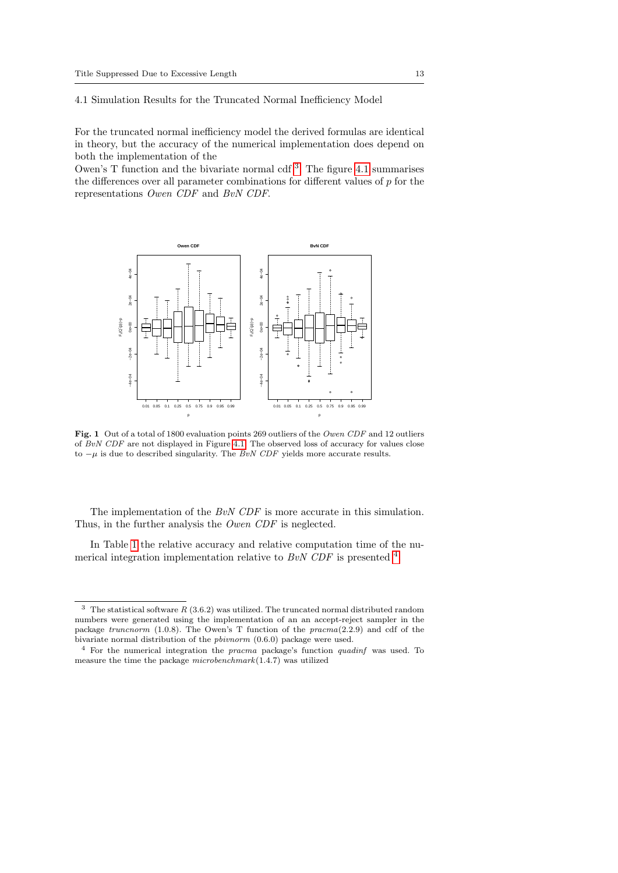<span id="page-12-1"></span>4.1 Simulation Results for the Truncated Normal Inefficiency Model

For the truncated normal inefficiency model the derived formulas are identical in theory, but the accuracy of the numerical implementation does depend on both the implementation of the

Owen's  $T$  function and the bivariate normal cdf<sup>[3](#page-12-0)</sup>. The figure [4.1](#page-12-1) summarises the differences over all parameter combinations for different values of  $p$  for the representations Owen CDF and BvN CDF.



Fig. 1 Out of a total of 1800 evaluation points 269 outliers of the Owen CDF and 12 outliers of  $BvN$  CDF are not displayed in Figure [4.1.](#page-12-1) The observed loss of accuracy for values close to  $-\mu$  is due to described singularity. The BvN CDF yields more accurate results.

The implementation of the BvN CDF is more accurate in this simulation. Thus, in the further analysis the Owen CDF is neglected.

In Table [1](#page-13-0) the relative accuracy and relative computation time of the numerical integration implementation relative to  $BvN$  CDF is presented  $4$ .

<span id="page-12-0"></span><sup>&</sup>lt;sup>3</sup> The statistical software  $R(3.6.2)$  was utilized. The truncated normal distributed random numbers were generated using the implementation of an an accept-reject sampler in the package truncnorm (1.0.8). The Owen's T function of the  $pracma(2.2.9)$  and cdf of the bivariate normal distribution of the pbivnorm (0.6.0) package were used.

<span id="page-12-2"></span><sup>4</sup> For the numerical integration the pracma package's function quadinf was used. To measure the time the package microbenchmark(1.4.7) was utilized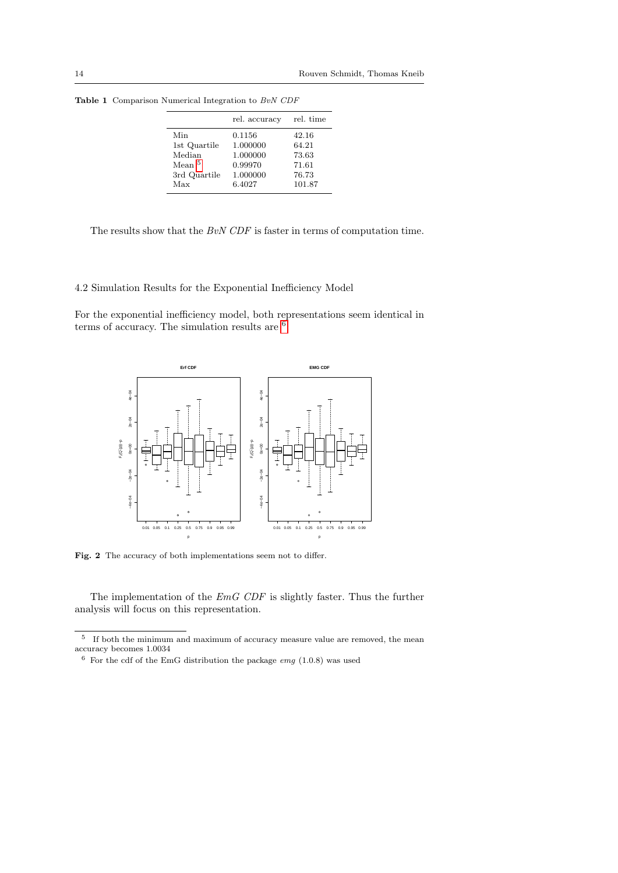|                                                                           | rel. accuracy                                                   | rel. time                                           |
|---------------------------------------------------------------------------|-----------------------------------------------------------------|-----------------------------------------------------|
| Min<br>1st Quartile<br>Median<br>Mean <sup>5</sup><br>3rd Quartile<br>Max | 0.1156<br>1.000000<br>1.000000<br>0.99970<br>1.000000<br>6.4027 | 42.16<br>64.21<br>73.63<br>71.61<br>76.73<br>101.87 |
|                                                                           |                                                                 |                                                     |

<span id="page-13-0"></span>Table 1 Comparison Numerical Integration to  $\it BvN$   $\it CDF$ 

The results show that the BvN CDF is faster in terms of computation time.

4.2 Simulation Results for the Exponential Inefficiency Model

For the exponential inefficiency model, both representations seem identical in terms of accuracy. The simulation results are <sup>[6](#page-13-2)</sup>:



Fig. 2 The accuracy of both implementations seem not to differ.

The implementation of the EmG CDF is slightly faster. Thus the further analysis will focus on this representation.

<span id="page-13-1"></span><sup>5</sup> If both the minimum and maximum of accuracy measure value are removed, the mean accuracy becomes 1.0034

<span id="page-13-2"></span> $6$  For the cdf of the EmG distribution the package *emg* (1.0.8) was used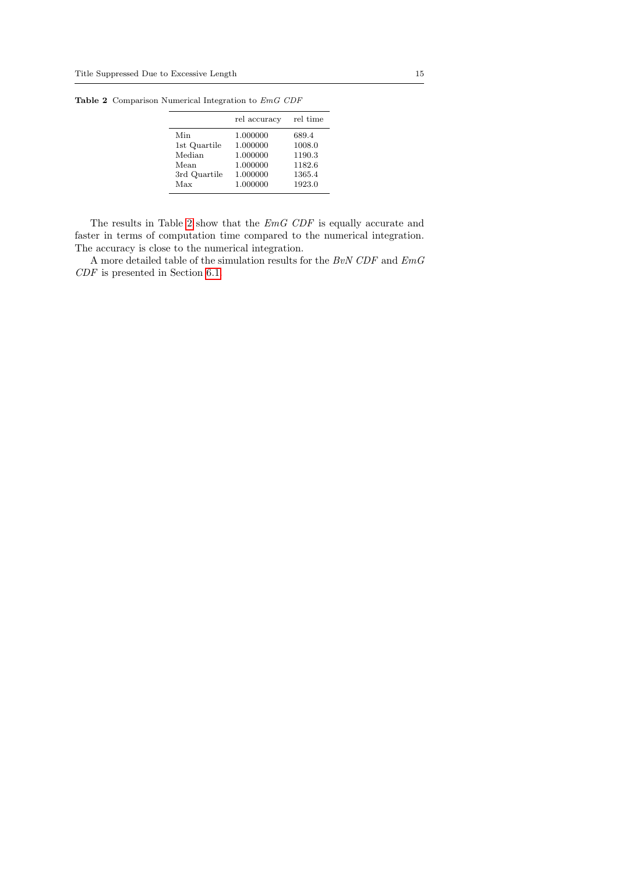| rel accuracy | rel time |
|--------------|----------|
| 1.000000     | 689.4    |
| 1.000000     | 1008.0   |
| 1.000000     | 1190.3   |
| 1.000000     | 1182.6   |
| 1.000000     | 1365.4   |
| 1.000000     | 1923.0   |
|              |          |

<span id="page-14-0"></span>Table 2 Comparison Numerical Integration to EmG CDF

The results in Table [2](#page-14-0) show that the EmG CDF is equally accurate and faster in terms of computation time compared to the numerical integration. The accuracy is close to the numerical integration.

A more detailed table of the simulation results for the  $BvN$  CDF and  $EmG$ CDF is presented in Section [6.1.](#page-18-0)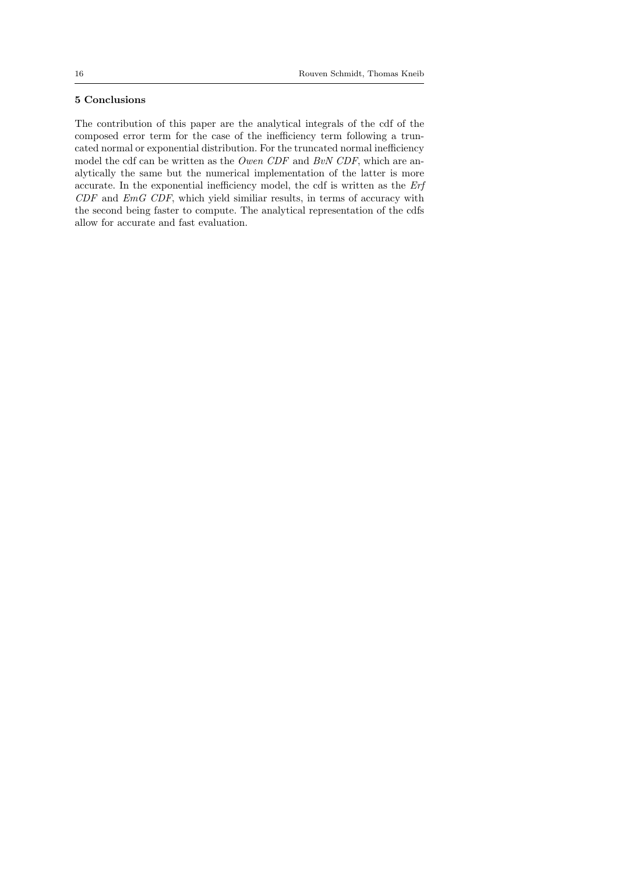## 5 Conclusions

The contribution of this paper are the analytical integrals of the cdf of the composed error term for the case of the inefficiency term following a truncated normal or exponential distribution. For the truncated normal inefficiency model the cdf can be written as the Owen CDF and BvN CDF, which are analytically the same but the numerical implementation of the latter is more accurate. In the exponential inefficiency model, the cdf is written as the Erf CDF and EmG CDF, which yield similiar results, in terms of accuracy with the second being faster to compute. The analytical representation of the cdfs allow for accurate and fast evaluation.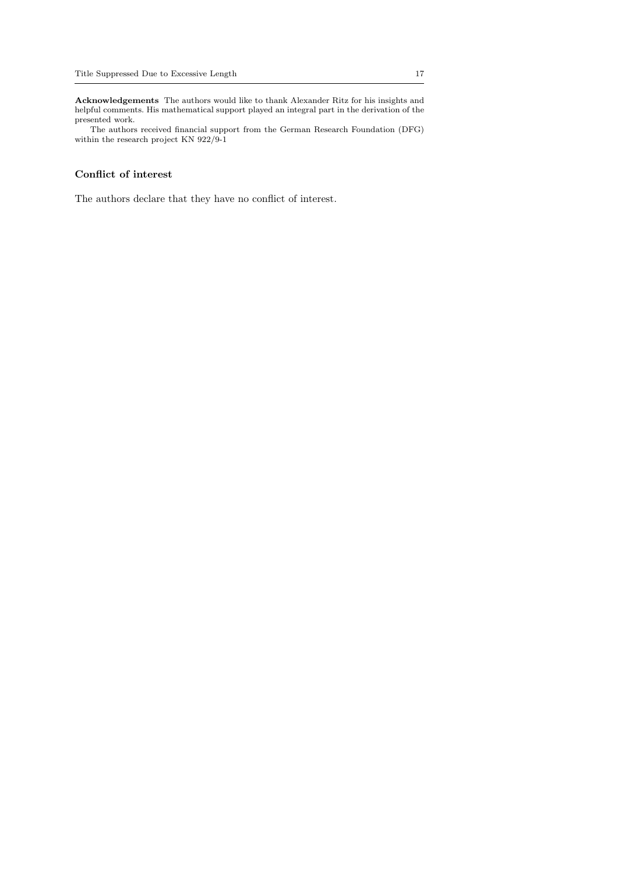Acknowledgements The authors would like to thank Alexander Ritz for his insights and helpful comments. His mathematical support played an integral part in the derivation of the presented work.

The authors received financial support from the German Research Foundation (DFG) within the research project KN 922/9-1

## Conflict of interest

The authors declare that they have no conflict of interest.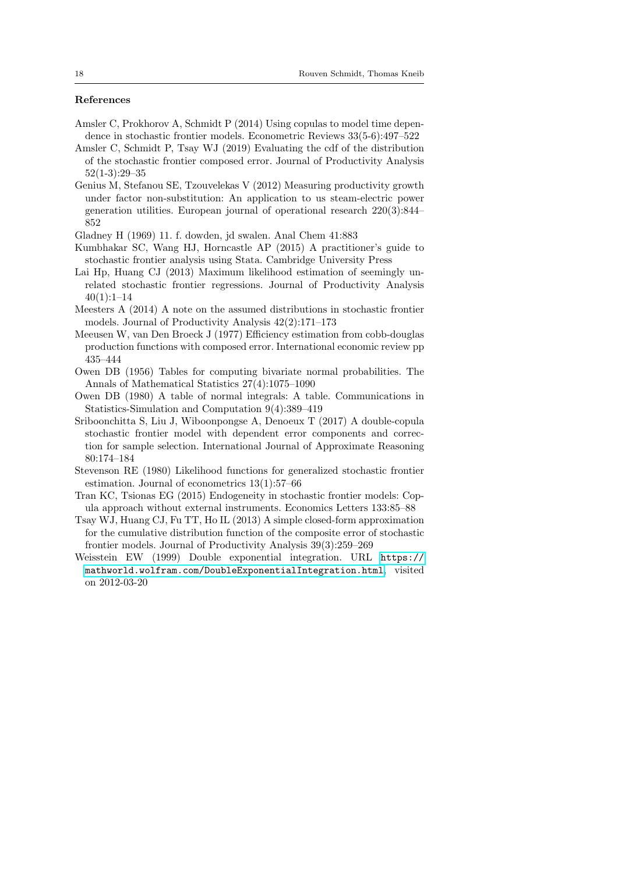#### References

- <span id="page-17-7"></span>Amsler C, Prokhorov A, Schmidt P (2014) Using copulas to model time dependence in stochastic frontier models. Econometric Reviews 33(5-6):497–522
- <span id="page-17-10"></span>Amsler C, Schmidt P, Tsay WJ (2019) Evaluating the cdf of the distribution of the stochastic frontier composed error. Journal of Productivity Analysis 52(1-3):29–35
- <span id="page-17-4"></span>Genius M, Stefanou SE, Tzouvelekas V (2012) Measuring productivity growth under factor non-substitution: An application to us steam-electric power generation utilities. European journal of operational research 220(3):844– 852

<span id="page-17-13"></span>Gladney H (1969) 11. f. dowden, jd swalen. Anal Chem 41:883

- <span id="page-17-1"></span>Kumbhakar SC, Wang HJ, Horncastle AP (2015) A practitioner's guide to stochastic frontier analysis using Stata. Cambridge University Press
- <span id="page-17-5"></span>Lai Hp, Huang CJ (2013) Maximum likelihood estimation of seemingly unrelated stochastic frontier regressions. Journal of Productivity Analysis  $40(1):1-14$
- <span id="page-17-0"></span>Meesters A (2014) A note on the assumed distributions in stochastic frontier models. Journal of Productivity Analysis 42(2):171–173
- <span id="page-17-3"></span>Meeusen W, van Den Broeck J (1977) Efficiency estimation from cobb-douglas production functions with composed error. International economic review pp 435–444
- <span id="page-17-11"></span>Owen DB (1956) Tables for computing bivariate normal probabilities. The Annals of Mathematical Statistics 27(4):1075–1090
- <span id="page-17-12"></span>Owen DB (1980) A table of normal integrals: A table. Communications in Statistics-Simulation and Computation 9(4):389–419
- <span id="page-17-9"></span>Sriboonchitta S, Liu J, Wiboonpongse A, Denoeux T (2017) A double-copula stochastic frontier model with dependent error components and correction for sample selection. International Journal of Approximate Reasoning 80:174–184
- <span id="page-17-2"></span>Stevenson RE (1980) Likelihood functions for generalized stochastic frontier estimation. Journal of econometrics 13(1):57–66
- <span id="page-17-8"></span>Tran KC, Tsionas EG (2015) Endogeneity in stochastic frontier models: Copula approach without external instruments. Economics Letters 133:85–88
- <span id="page-17-6"></span>Tsay WJ, Huang CJ, Fu TT, Ho IL (2013) A simple closed-form approximation for the cumulative distribution function of the composite error of stochastic frontier models. Journal of Productivity Analysis 39(3):259–269
- <span id="page-17-14"></span>Weisstein EW (1999) Double exponential integration. URL [https://](https://mathworld.wolfram.com/DoubleExponentialIntegration.html) [mathworld.wolfram.com/DoubleExponentialIntegration.html](https://mathworld.wolfram.com/DoubleExponentialIntegration.html), visited on 2012-03-20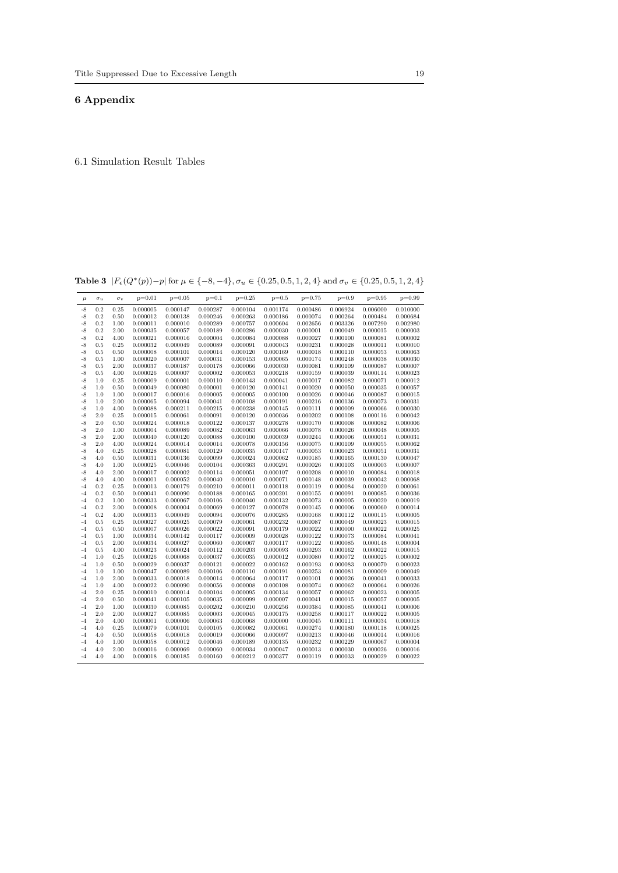## <span id="page-18-0"></span>6 Appendix

6.1 Simulation Result Tables

Table 3  $|F_{\epsilon}(Q^*(p)) - p|$  for  $\mu \in \{-8, -4\}$ ,  $\sigma_u \in \{0.25, 0.5, 1, 2, 4\}$  and  $\sigma_v \in \{0.25, 0.5, 1, 2, 4\}$ 

| $\mu$ | $\sigma_u$ | $\sigma_v$ | $p=0.01$ | $p=0.05$ | $p=0.1$  | $p=0.25$ | $p=0.5$  | $p=0.75$ | $p=0.9$  | $p=0.95$ | $p=0.99$ |
|-------|------------|------------|----------|----------|----------|----------|----------|----------|----------|----------|----------|
| $-8$  | 0.2        | 0.25       | 0.000005 | 0.000147 | 0.000287 | 0.000104 | 0.001174 | 0.000486 | 0.006924 | 0.006000 | 0.010000 |
| $-8$  | 0.2        | 0.50       | 0.000012 | 0.000138 | 0.000246 | 0.000263 | 0.000186 | 0.000074 | 0.000264 | 0.000484 | 0.000684 |
| $-8$  | $\rm 0.2$  | 1.00       | 0.000011 | 0.000010 | 0.000289 | 0.000757 | 0.000604 | 0.002656 | 0.003326 | 0.007290 | 0.002980 |
| $-8$  | 0.2        | 2.00       | 0.000035 | 0.000057 | 0.000189 | 0.000286 | 0.000030 | 0.000001 | 0.000049 | 0.000015 | 0.000003 |
| $-8$  | 0.2        | 4.00       | 0.000021 | 0.000016 | 0.000004 | 0.000084 | 0.000088 | 0.000027 | 0.000100 | 0.000081 | 0.000002 |
| $-8$  | 0.5        | 0.25       | 0.000032 | 0.000049 | 0.000089 | 0.000091 | 0.000043 | 0.000231 | 0.000028 | 0.000011 | 0.000010 |
| $-8$  | 0.5        | 0.50       | 0.000008 | 0.000101 | 0.000014 | 0.000120 | 0.000169 | 0.000018 | 0.000110 | 0.000053 | 0.000063 |
| $-8$  | 0.5        | 1.00       | 0.000020 | 0.000007 | 0.000031 | 0.000153 | 0.000065 | 0.000174 | 0.000248 | 0.000038 | 0.000030 |
| $-8$  | 0.5        | 2.00       | 0.000037 | 0.000187 | 0.000178 | 0.000066 | 0.000030 | 0.000081 | 0.000109 | 0.000087 | 0.000007 |
| $-8$  | 0.5        | 4.00       | 0.000026 | 0.000007 | 0.000002 | 0.000053 | 0.000218 | 0.000159 | 0.000039 | 0.000114 | 0.000023 |
| $-8$  | 1.0        | 0.25       | 0.000009 | 0.000001 | 0.000110 | 0.000143 | 0.000041 | 0.000017 | 0.000082 | 0.000071 | 0.000012 |
| $-8$  | 1.0        | 0.50       | 0.000049 | 0.000080 | 0.000001 | 0.000120 | 0.000141 | 0.000020 | 0.000050 | 0.000035 | 0.000057 |
| $-8$  | 1.0        | 1.00       | 0.000017 | 0.000016 | 0.000005 | 0.000005 | 0.000100 | 0.000026 | 0.000046 | 0.000087 | 0.000015 |
| $-8$  | 1.0        | 2.00       | 0.000065 | 0.000094 | 0.000041 | 0.000108 | 0.000191 | 0.000216 | 0.000136 | 0.000073 | 0.000031 |
| $-8$  | 1.0        | 4.00       | 0.000088 | 0.000211 | 0.000215 | 0.000238 | 0.000145 | 0.000111 | 0.000009 | 0.000066 | 0.000030 |
| $-8$  | 2.0        | 0.25       | 0.000015 | 0.000061 | 0.000091 | 0.000120 | 0.000036 | 0.000202 | 0.000108 | 0.000116 | 0.000042 |
| $-8$  | 2.0        | 0.50       | 0.000024 | 0.000018 | 0.000122 | 0.000137 | 0.000278 | 0.000170 | 0.000008 | 0.000082 | 0.000006 |
| $-8$  | 2.0        | 1.00       | 0.000004 | 0.000089 | 0.000082 | 0.000063 | 0.000066 | 0.000078 | 0.000026 | 0.000048 | 0.000005 |
| $-8$  | 2.0        | 2.00       | 0.000040 | 0.000120 | 0.000088 | 0.000100 | 0.000039 | 0.000244 | 0.000006 | 0.000051 | 0.000031 |
| $-8$  | 2.0        | 4.00       | 0.000024 | 0.000014 | 0.000014 | 0.000078 | 0.000156 | 0.000075 | 0.000109 | 0.000055 | 0.000062 |
| $-8$  | 4.0        | 0.25       | 0.000028 | 0.000081 | 0.000129 | 0.000035 | 0.000147 | 0.000053 | 0.000023 | 0.000051 | 0.000031 |
| $-8$  | 4.0        | 0.50       | 0.000031 | 0.000136 | 0.000099 | 0.000024 | 0.000062 | 0.000185 | 0.000165 | 0.000130 | 0.000047 |
| $-8$  | 4.0        | 1.00       | 0.000025 | 0.000046 | 0.000104 | 0.000363 | 0.000291 | 0.000026 | 0.000103 | 0.000003 | 0.000007 |
| $-8$  | 4.0        | 2.00       | 0.000017 | 0.000002 | 0.000114 | 0.000051 | 0.000107 | 0.000208 | 0.000010 | 0.000084 | 0.000018 |
| $-8$  | 4.0        | 4.00       | 0.000001 | 0.000052 | 0.000040 | 0.000010 | 0.000071 | 0.000148 | 0.000039 | 0.000042 | 0.000068 |
| $-4$  | $0.2\,$    | 0.25       | 0.000013 | 0.000179 | 0.000210 | 0.000011 | 0.000118 | 0.000119 | 0.000084 | 0.000020 | 0.000061 |
| $-4$  | 0.2        | 0.50       | 0.000041 | 0.000090 | 0.000188 | 0.000165 | 0.000201 | 0.000155 | 0.000091 | 0.000085 | 0.000036 |
| $-4$  | 0.2        | 1.00       | 0.000033 | 0.000067 | 0.000106 | 0.000040 | 0.000132 | 0.000073 | 0.000005 | 0.000020 | 0.000019 |
| $-4$  | 0.2        | 2.00       | 0.000008 | 0.000004 | 0.000069 | 0.000127 | 0.000078 | 0.000145 | 0.000006 | 0.000060 | 0.000014 |
| $-4$  | 0.2        | 4.00       | 0.000033 | 0.000049 | 0.000094 | 0.000076 | 0.000285 | 0.000168 | 0.000112 | 0.000115 | 0.000005 |
| $-4$  | 0.5        | 0.25       | 0.000027 | 0.000025 | 0.000079 | 0.000061 | 0.000232 | 0.000087 | 0.000049 | 0.000023 | 0.000015 |
| $-4$  | 0.5        | 0.50       | 0.000007 | 0.000026 | 0.000022 | 0.000091 | 0.000179 | 0.000022 | 0.000000 | 0.000022 | 0.000025 |
| $-4$  | 0.5        | 1.00       | 0.000034 | 0.000142 | 0.000117 | 0.000009 | 0.000028 | 0.000122 | 0.000073 | 0.000084 | 0.000041 |
| $-4$  | 0.5        | 2.00       | 0.000034 | 0.000027 | 0.000060 | 0.000067 | 0.000117 | 0.000122 | 0.000085 | 0.000148 | 0.000004 |
| $-4$  | 0.5        | 4.00       | 0.000023 | 0.000024 | 0.000112 | 0.000203 | 0.000093 | 0.000293 | 0.000162 | 0.000022 | 0.000015 |
| $-4$  | 1.0        | 0.25       | 0.000026 | 0.000068 | 0.000037 | 0.000035 | 0.000012 | 0.000080 | 0.000072 | 0.000025 | 0.000002 |
| $-4$  | 1.0        | 0.50       | 0.000029 | 0.000037 | 0.000121 | 0.000022 | 0.000162 | 0.000193 | 0.000083 | 0.000070 | 0.000023 |
| $-4$  | 1.0        | 1.00       | 0.000047 | 0.000089 | 0.000106 | 0.000110 | 0.000191 | 0.000253 | 0.000081 | 0.000009 | 0.000049 |
| $-4$  | 1.0        | 2.00       | 0.000033 | 0.000018 | 0.000014 | 0.000064 | 0.000117 | 0.000101 | 0.000026 | 0.000041 | 0.000033 |
| $-4$  | 1.0        | 4.00       | 0.000022 | 0.000090 | 0.000056 | 0.000008 | 0.000108 | 0.000074 | 0.000062 | 0.000064 | 0.000026 |
| $-4$  | 2.0        | 0.25       | 0.000010 | 0.000014 | 0.000104 | 0.000095 | 0.000134 | 0.000057 | 0.000062 | 0.000023 | 0.000005 |
| $-4$  | 2.0        | 0.50       | 0.000041 | 0.000105 | 0.000035 | 0.000099 | 0.000007 | 0.000041 | 0.000015 | 0.000057 | 0.000005 |
| $-4$  | 2.0        | 1.00       | 0.000030 | 0.000085 | 0.000202 | 0.000210 | 0.000256 | 0.000384 | 0.000085 | 0.000041 | 0.000006 |
| $-4$  | 2.0        | 2.00       | 0.000027 | 0.000085 | 0.000003 | 0.000045 | 0.000175 | 0.000258 | 0.000117 | 0.000022 | 0.000005 |
| $-4$  | 2.0        | 4.00       | 0.000001 | 0.000006 | 0.000063 | 0.000068 | 0.000000 | 0.000045 | 0.000111 | 0.000034 | 0.000018 |
| $-4$  | 4.0        | 0.25       | 0.000079 | 0.000101 | 0.000105 | 0.000082 | 0.000061 | 0.000274 | 0.000180 | 0.000118 | 0.000025 |
| $-4$  | 4.0        | 0.50       | 0.000058 | 0.000018 | 0.000019 | 0.000066 | 0.000097 | 0.000213 | 0.000046 | 0.000014 | 0.000016 |
| $-4$  | 4.0        | 1.00       | 0.000058 | 0.000012 | 0.000046 | 0.000189 | 0.000135 | 0.000232 | 0.000229 | 0.000067 | 0.000004 |
| $-4$  | 4.0        | 2.00       | 0.000016 | 0.000069 | 0.000060 | 0.000034 | 0.000047 | 0.000013 | 0.000030 | 0.000026 | 0.000016 |
| $-4$  | 4.0        | 4.00       | 0.000018 | 0.000185 | 0.000160 | 0.000212 | 0.000377 | 0.000119 | 0.000033 | 0.000029 | 0.000022 |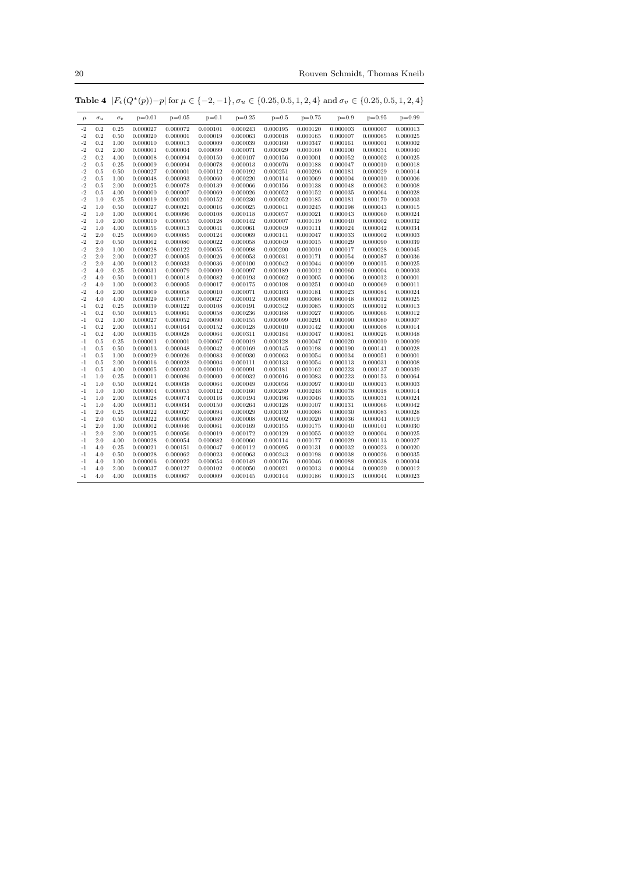20 Rouven Schmidt, Thomas Kneib

| $\mu$ | $\sigma_u$ | $\sigma_v$ | $p=0.01$ | $p=0.05$ | $p=0.1$  | $p=0.25$ | $p=0.5$  | $p=0.75$ | $p=0.9$  | $p=0.95$ | $p=0.99$ |
|-------|------------|------------|----------|----------|----------|----------|----------|----------|----------|----------|----------|
| $-2$  | 0.2        | 0.25       | 0.000027 | 0.000072 | 0.000101 | 0.000243 | 0.000195 | 0.000120 | 0.000003 | 0.000007 | 0.000013 |
| $-2$  | 0.2        | 0.50       | 0.000020 | 0.000001 | 0.000019 | 0.000063 | 0.000018 | 0.000165 | 0.000007 | 0.000065 | 0.000025 |
| $-2$  | 0.2        | 1.00       | 0.000010 | 0.000013 | 0.000009 | 0.000039 | 0.000160 | 0.000347 | 0.000161 | 0.000001 | 0.000002 |
| $-2$  | 0.2        | 2.00       | 0.000001 | 0.000004 | 0.000099 | 0.000071 | 0.000029 | 0.000160 | 0.000100 | 0.000034 | 0.000040 |
| $-2$  | 0.2        | 4.00       | 0.000008 | 0.000094 | 0.000150 | 0.000107 | 0.000156 | 0.000001 | 0.000052 | 0.000002 | 0.000025 |
| $-2$  | 0.5        | 0.25       | 0.000009 | 0.000094 | 0.000078 | 0.000013 | 0.000076 | 0.000188 | 0.000047 | 0.000010 | 0.000018 |
| $-2$  | 0.5        | 0.50       | 0.000027 | 0.000001 | 0.000112 | 0.000192 | 0.000251 | 0.000296 | 0.000181 | 0.000029 | 0.000014 |
| $-2$  | 0.5        | 1.00       | 0.000048 | 0.000093 | 0.000060 | 0.000220 | 0.000114 | 0.000069 | 0.000004 | 0.000010 | 0.000006 |
| $-2$  | 0.5        | 2.00       | 0.000025 | 0.000078 | 0.000139 | 0.000066 | 0.000156 | 0.000138 | 0.000048 | 0.000062 | 0.000008 |
| $-2$  | 0.5        | 4.00       | 0.000000 | 0.000007 | 0.000069 | 0.000026 | 0.000052 | 0.000152 | 0.000035 | 0.000064 | 0.000028 |
| $-2$  | 1.0        | 0.25       | 0.000019 | 0.000201 | 0.000152 | 0.000230 | 0.000052 | 0.000185 | 0.000181 | 0.000170 | 0.000003 |
| $-2$  | 1.0        | 0.50       | 0.000027 | 0.000021 | 0.000016 | 0.000025 | 0.000041 | 0.000245 | 0.000198 | 0.000043 | 0.000015 |
| $-2$  | 1.0        | 1.00       | 0.000004 | 0.000096 | 0.000108 | 0.000118 | 0.000057 | 0.000021 | 0.000043 | 0.000060 | 0.000024 |
| $-2$  | 1.0        | 2.00       | 0.000010 | 0.000055 | 0.000128 | 0.000142 | 0.000007 | 0.000119 | 0.000040 | 0.000002 | 0.000032 |
| $-2$  | 1.0        | 4.00       | 0.000056 | 0.000013 | 0.000041 | 0.000061 | 0.000049 | 0.000111 | 0.000024 | 0.000042 | 0.000034 |
| $-2$  | 2.0        | 0.25       | 0.000060 | 0.000085 | 0.000124 | 0.000069 | 0.000141 | 0.000047 | 0.000033 | 0.000002 | 0.000003 |
| $-2$  | 2.0        | 0.50       | 0.000062 | 0.000080 | 0.000022 | 0.000058 | 0.000049 | 0.000015 | 0.000029 | 0.000090 | 0.000039 |
| $-2$  | 2.0        | 1.00       | 0.000028 | 0.000122 | 0.000055 | 0.000098 | 0.000200 | 0.000010 | 0.000017 | 0.000028 | 0.000045 |
| $-2$  | 2.0        | 2.00       | 0.000027 | 0.000005 | 0.000026 | 0.000053 | 0.000031 | 0.000171 | 0.000054 | 0.000087 | 0.000036 |
| $-2$  | 2.0        | 4.00       | 0.000012 | 0.000033 | 0.000036 | 0.000100 | 0.000042 | 0.000044 | 0.000009 | 0.000015 | 0.000025 |
| $-2$  | 4.0        | 0.25       | 0.000031 | 0.000079 | 0.000009 | 0.000097 | 0.000189 | 0.000012 | 0.000060 | 0.000004 | 0.000003 |
| $-2$  | 4.0        | 0.50       | 0.000011 | 0.000018 | 0.000082 | 0.000193 | 0.000062 | 0.000005 | 0.000006 | 0.000012 | 0.000001 |
| $-2$  | 4.0        | 1.00       | 0.000002 | 0.000005 | 0.000017 | 0.000175 | 0.000108 | 0.000251 | 0.000040 | 0.000069 | 0.000011 |
| $-2$  | 4.0        | 2.00       | 0.000009 | 0.000058 | 0.000010 | 0.000071 | 0.000103 | 0.000181 | 0.000023 | 0.000084 | 0.000024 |
| $-2$  | 4.0        | 4.00       | 0.000029 | 0.000017 | 0.000027 | 0.000012 | 0.000080 | 0.000086 | 0.000048 | 0.000012 | 0.000025 |
| -1    | 0.2        | 0.25       | 0.000039 | 0.000122 | 0.000108 | 0.000191 | 0.000342 | 0.000085 | 0.000003 | 0.000012 | 0.000013 |
| -1    | 0.2        | 0.50       | 0.000015 | 0.000061 | 0.000058 | 0.000236 | 0.000168 | 0.000027 | 0.000005 | 0.000066 | 0.000012 |
| $-1$  | 0.2        | 1.00       | 0.000027 | 0.000052 | 0.000090 | 0.000155 | 0.000099 | 0.000291 | 0.000090 | 0.000080 | 0.000007 |
| -1    | 0.2        | 2.00       | 0.000051 | 0.000164 | 0.000152 | 0.000128 | 0.000010 | 0.000142 | 0.000000 | 0.000008 | 0.000014 |
| $-1$  | 0.2        | 4.00       | 0.000036 | 0.000028 | 0.000064 | 0.000311 | 0.000184 | 0.000047 | 0.000081 | 0.000026 | 0.000048 |
| $-1$  | 0.5        | 0.25       | 0.000001 | 0.000001 | 0.000067 | 0.000019 | 0.000128 | 0.000047 | 0.000020 | 0.000010 | 0.000009 |
| $-1$  | 0.5        | 0.50       | 0.000013 | 0.000048 | 0.000042 | 0.000169 | 0.000145 | 0.000198 | 0.000190 | 0.000141 | 0.000028 |
| -1    | 0.5        | 1.00       | 0.000029 | 0.000026 | 0.000083 | 0.000030 | 0.000063 | 0.000054 | 0.000034 | 0.000051 | 0.000001 |
| $-1$  | 0.5        | 2.00       | 0.000016 | 0.000028 | 0.000004 | 0.000111 | 0.000133 | 0.000054 | 0.000113 | 0.000031 | 0.000008 |
| -1    | 0.5        | 4.00       | 0.000005 | 0.000023 | 0.000010 | 0.000091 | 0.000181 | 0.000162 | 0.000223 | 0.000137 | 0.000039 |
| -1    | 1.0        | 0.25       | 0.000011 | 0.000086 | 0.000000 | 0.000032 | 0.000016 | 0.000083 | 0.000223 | 0.000153 | 0.000064 |
| $-1$  | 1.0        | 0.50       | 0.000024 | 0.000038 | 0.000064 | 0.000049 | 0.000056 | 0.000097 | 0.000040 | 0.000013 | 0.000003 |
| -1    | 1.0        | 1.00       | 0.000004 | 0.000053 | 0.000112 | 0.000160 | 0.000289 | 0.000248 | 0.000078 | 0.000018 | 0.000014 |
| -1    | 1.0        | 2.00       | 0.000028 | 0.000074 | 0.000116 | 0.000194 | 0.000196 | 0.000046 | 0.000035 | 0.000031 | 0.000024 |
| $-1$  | 1.0        | 4.00       | 0.000031 | 0.000034 | 0.000150 | 0.000264 | 0.000128 | 0.000107 | 0.000131 | 0.000066 | 0.000042 |
| -1    | 2.0        | 0.25       | 0.000022 | 0.000027 | 0.000094 | 0.000029 | 0.000139 | 0.000086 | 0.000030 | 0.000083 | 0.000028 |
| $-1$  | $2.0\,$    | 0.50       | 0.000022 | 0.000050 | 0.000069 | 0.000008 | 0.000002 | 0.000020 | 0.000036 | 0.000041 | 0.000019 |
| -1    | 2.0        | 1.00       | 0.000002 | 0.000046 | 0.000061 | 0.000169 | 0.000155 | 0.000175 | 0.000040 | 0.000101 | 0.000030 |
| -1    | 2.0        | 2.00       | 0.000025 | 0.000056 | 0.000019 | 0.000172 | 0.000129 | 0.000055 | 0.000032 | 0.000004 | 0.000025 |
| $-1$  | 2.0        | 4.00       | 0.000028 | 0.000054 | 0.000082 | 0.000060 | 0.000114 | 0.000177 | 0.000029 | 0.000113 | 0.000027 |
| -1    | 4.0        | 0.25       | 0.000021 | 0.000151 | 0.000047 | 0.000112 | 0.000095 | 0.000131 | 0.000032 | 0.000023 | 0.000020 |
| $-1$  | 4.0        | 0.50       | 0.000028 | 0.000062 | 0.000023 | 0.000063 | 0.000243 | 0.000198 | 0.000038 | 0.000026 | 0.000035 |
| $-1$  | 4.0        | 1.00       | 0.000006 | 0.000022 | 0.000054 | 0.000149 | 0.000176 | 0.000046 | 0.000088 | 0.000038 | 0.000004 |
| -1    | 4.0        | 2.00       | 0.000037 | 0.000127 | 0.000102 | 0.000050 | 0.000021 | 0.000013 | 0.000044 | 0.000020 | 0.000012 |
| $-1$  | 4.0        | 4.00       | 0.000038 | 0.000067 | 0.000009 | 0.000145 | 0.000144 | 0.000186 | 0.000013 | 0.000044 | 0.000023 |

Table 4  $|F_{\epsilon}(Q^*(p)) - p|$  for  $\mu \in \{-2, -1\}$ ,  $\sigma_u \in \{0.25, 0.5, 1, 2, 4\}$  and  $\sigma_v \in \{0.25, 0.5, 1, 2, 4\}$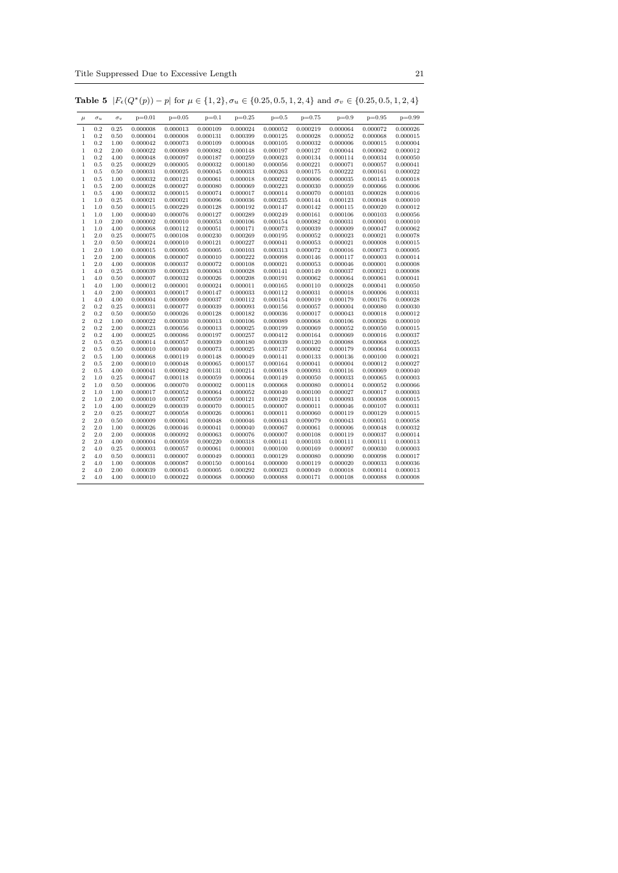Title Suppressed Due to Excessive Length 21

| $\mu$                            | $\sigma_u$ | $\sigma_v$   | $p=0.01$             | $p=0.05$             | $p=0.1$              | $p=0.25$             | $p=0.5$              | $p=0.75$             | $p=0.9$              | $p=0.95$             | $p=0.99$             |
|----------------------------------|------------|--------------|----------------------|----------------------|----------------------|----------------------|----------------------|----------------------|----------------------|----------------------|----------------------|
| 1                                | 0.2        | 0.25         | 0.000008             | 0.000013             | 0.000109             | 0.000024             | 0.000052             | 0.000219             | 0.000064             | 0.000072             | 0.000026             |
| $\,1$                            | 0.2        | 0.50         | 0.000004             | 0.000008             | 0.000131             | 0.000399             | 0.000125             | 0.000028             | 0.000052             | 0.000068             | 0.000015             |
| 1                                | 0.2        | 1.00         | 0.000042             | 0.000073             | 0.000109             | 0.000048             | 0.000105             | 0.000032             | 0.000006             | 0.000015             | 0.000004             |
| 1                                | 0.2        | 2.00         | 0.000022             | 0.000089             | 0.000082             | 0.000148             | 0.000197             | 0.000127             | 0.000044             | 0.000062             | 0.000012             |
| $\mathbf{1}$                     | 0.2        | 4.00         | 0.000048             | 0.000097             | 0.000187             | 0.000259             | 0.000023             | 0.000134             | 0.000114             | 0.000034             | 0.000050             |
| $\mathbf 1$                      | 0.5        | 0.25         | 0.000029             | 0.000005             | 0.000032             | 0.000180             | 0.000056             | 0.000221             | 0.000071             | 0.000057             | 0.000041             |
| $\mathbf 1$                      | 0.5        | 0.50         | 0.000031             | 0.000025             | 0.000045             | 0.000033             | 0.000263             | 0.000175             | 0.000222             | 0.000161             | 0.000022             |
| $\,1$                            | 0.5        | 1.00         | 0.000032             | 0.000121             | 0.000061             | 0.000018             | 0.000022             | 0.000006             | 0.000035             | 0.000145             | 0.000018             |
| $\mathbf 1$                      | 0.5        | 2.00         | 0.000028             | 0.000027             | 0.000080             | 0.000069             | 0.000223             | 0.000030             | 0.000059             | 0.000066             | 0.000006             |
| $\,1$                            | 0.5        | 4.00         | 0.000032             | 0.000015             | 0.000074             | 0.000017             | 0.000014             | 0.000070             | 0.000103             | 0.000028             | 0.000016             |
| $\mathbf 1$                      | 1.0        | 0.25         | 0.000021             | 0.000021             | 0.000096             | 0.000036             | 0.000235             | 0.000144             | 0.000123             | 0.000048             | 0.000010             |
| $\mathbf 1$                      | 1.0        | 0.50         | 0.000015             | 0.000229             | 0.000128             | 0.000192             | 0.000147             | 0.000142             | 0.000115             | 0.000020             | 0.000012             |
| $\,1$                            | 1.0        | 1.00         | 0.000040             | 0.000076             | 0.000127             | 0.000289             | 0.000249             | 0.000161             | 0.000106             | 0.000103             | 0.000056             |
| $\mathbf 1$                      | 1.0        | 2.00         | 0.000002             | 0.000010             | 0.000053             | 0.000106             | 0.000154             | 0.000082             | 0.000031             | 0.000001             | 0.000010             |
| $\,1$                            | 1.0        | 4.00         | 0.000068             | 0.000112             | 0.000051             | 0.000171             | 0.000073             | 0.000039             | 0.000009             | 0.000047             | 0.000062             |
| 1                                | 2.0        | 0.25         | 0.000075             | 0.000108             | 0.000230             | 0.000269             | 0.000195             | 0.000052             | 0.000023             | 0.000021             | 0.000078             |
| $\mathbf 1$                      | 2.0        | 0.50         | 0.000024             | 0.000010             | 0.000121             | 0.000227             | 0.000041             | 0.000053             | 0.000021             | 0.000008             | 0.000015             |
| $\mathbf 1$                      | 2.0        | 1.00         | 0.000015             | 0.000005             | 0.000005             | 0.000103             | 0.000313             | 0.000072             | 0.000016             | 0.000073             | 0.000005             |
| $\mathbf 1$                      | 2.0        | 2.00         | 0.000008             | 0.000007             | 0.000010             | 0.000222             | 0.000098             | 0.000146             | 0.000117             | 0.000003             | 0.000014             |
| $\mathbf 1$                      | 2.0        | 4.00         | 0.000008             | 0.000037             | 0.000072             | 0.000108             | 0.000021             | 0.000053             | 0.000046             | 0.000001             | 0.000008             |
| 1                                | 4.0        | 0.25         | 0.000039             | 0.000023             | 0.000063             | 0.000028             | 0.000141             | 0.000149             | 0.000037             | 0.000021             | 0.000008             |
| $\mathbf 1$                      | 4.0        | 0.50         | 0.000007             | 0.000032             | 0.000026             | 0.000208             | 0.000191             | 0.000062             | 0.000064             | 0.000061             | 0.000041             |
| $\,1$                            | 4.0        | 1.00         | 0.000012             | 0.000001             | 0.000024             | 0.000011             | 0.000165             | 0.000110             | 0.000028             | 0.000041             | 0.000050             |
| $\mathbf 1$                      | 4.0        | 2.00         | 0.000003             | 0.000017             | 0.000147             | 0.000033             | 0.000112             | 0.000031             | 0.000018             | 0.000006             | 0.000031             |
| $\mathbf 1$                      | 4.0        | 4.00         | 0.000004             | 0.000009             | 0.000037             | 0.000112             | 0.000154             | 0.000019             | 0.000179             | 0.000176             | 0.000028             |
| $\overline{2}$                   | 0.2        | 0.25         | 0.000031             | 0.000077             | 0.000039             | 0.000093             | 0.000156             | 0.000057             | 0.000004             | 0.000080             | 0.000030             |
| $\overline{2}$                   | 0.2        | 0.50         | 0.000050             | 0.000026             | 0.000128             | 0.000182             | 0.000036             | 0.000017             | 0.000043             | 0.000018             | 0.000012             |
| $\overline{2}$                   | 0.2        | 1.00         | 0.000022             | 0.000030             | 0.000013             | 0.000106             | 0.000089             | 0.000068             | 0.000106             | 0.000026             | 0.000010             |
| $\overline{2}$                   | 0.2        | 2.00         | 0.000023             | 0.000056             | 0.000013             | 0.000025             | 0.000199             | 0.000069             | 0.000052             | 0.000050             | 0.000015             |
| $\overline{2}$                   | 0.2        | 4.00         | 0.000025             | 0.000086             | 0.000197             | 0.000257             | 0.000412             | 0.000164             | 0.000069             | 0.000016             | 0.000037             |
| $\overline{2}$                   | 0.5        | 0.25         | 0.000014             | 0.000057             | 0.000039             | 0.000180             | 0.000039             | 0.000120             | 0.000088             | 0.000068             | 0.000025             |
| $\overline{2}$                   | 0.5        | 0.50         | 0.000010             | 0.000040             | 0.000073             | 0.000025             | 0.000137             | 0.000002             | 0.000179             | 0.000064             | 0.000033             |
| $\overline{2}$                   | 0.5        | 1.00         | 0.000068             | 0.000119             | 0.000148             | 0.000049             | 0.000141             | 0.000133             | 0.000136             | 0.000100             | 0.000021             |
| $\overline{2}$                   | 0.5        | 2.00         | 0.000010             | 0.000048             | 0.000065             | 0.000157             | 0.000164             | 0.000041             | 0.000004             | 0.000012             | 0.000027             |
| $\overline{2}$                   | 0.5        | 4.00         | 0.000041             | 0.000082             | 0.000131             | 0.000214             | 0.000018             | 0.000093             | 0.000116             | 0.000069             | 0.000040             |
| $\overline{2}$                   | 1.0        | 0.25         | 0.000047             | 0.000118             | 0.000059             | 0.000064             | 0.000149             | 0.000050             | 0.000033             | 0.000065             | 0.000003             |
| $\overline{2}$                   | 1.0        | 0.50         | 0.000006             | 0.000070             | 0.000002             | 0.000118             | 0.000068             | 0.000080             | 0.000014             | 0.000052             | 0.000066             |
| $\overline{2}$<br>$\overline{2}$ | 1.0        | 1.00<br>2.00 | 0.000017             | 0.000052             | 0.000064             | 0.000052             | 0.000040             | 0.000100             | 0.000027             | 0.000017             | 0.000003             |
| $\overline{2}$                   | 1.0        |              | 0.000010             | 0.000057             | 0.000059             | 0.000121             | 0.000129             | 0.000111             | 0.000093             | 0.000008             | 0.000015             |
| $\overline{2}$                   | 1.0<br>2.0 | 4.00<br>0.25 | 0.000029<br>0.000027 | 0.000039<br>0.000058 | 0.000070<br>0.000026 | 0.000015<br>0.000061 | 0.000007<br>0.000011 | 0.000011<br>0.000060 | 0.000046<br>0.000119 | 0.000107<br>0.000129 | 0.000031<br>0.000015 |
| $\overline{2}$                   | 2.0        | 0.50         | 0.000009             | 0.000061             | 0.000048             | 0.000046             | 0.000043             | 0.000079             | 0.000043             | 0.000051             | 0.000058             |
| $\overline{2}$                   | 2.0        | 1.00         | 0.000026             | 0.000046             | 0.000041             | 0.000040             | 0.000067             | 0.000061             | 0.000006             | 0.000048             | 0.000032             |
| $\overline{2}$                   | 2.0        | 2.00         | 0.000008             | 0.000092             | 0.000063             | 0.000076             | 0.000007             | 0.000108             | 0.000119             | 0.000037             | 0.000014             |
| $\overline{2}$                   | 2.0        | 4.00         | 0.000004             | 0.000059             | 0.000220             | 0.000318             | 0.000141             | 0.000103             | 0.000111             | 0.000111             | 0.000013             |
| $\overline{2}$                   | 4.0        | 0.25         | 0.000003             | 0.000057             | 0.000061             | 0.000001             | 0.000100             | 0.000169             | 0.000097             | 0.000030             | 0.000003             |
| $\overline{2}$                   | 4.0        | 0.50         | 0.000031             | 0.000007             | 0.000049             | 0.000003             | 0.000129             | 0.000080             | 0.000090             | 0.000098             | 0.000017             |
| $\overline{2}$                   | 4.0        | 1.00         | 0.000008             | 0.000087             | 0.000150             | 0.000164             | 0.000000             | 0.000119             | 0.000020             | 0.000033             | 0.000036             |
| $\overline{2}$                   | 4.0        | 2.00         | 0.000039             | 0.000045             | 0.000005             | 0.000292             | 0.000023             | 0.000049             | 0.000018             | 0.000014             | 0.000013             |
| $\overline{2}$                   | 4.0        | 4.00         | 0.000010             | 0.000022             | 0.000068             | 0.000060             | 0.000088             | 0.000171             | 0.000108             | 0.000088             | 0.000008             |
|                                  |            |              |                      |                      |                      |                      |                      |                      |                      |                      |                      |

Table 5  $|F_{\epsilon}(Q^*(p)) - p|$  for  $\mu \in \{1, 2\}, \sigma_u \in \{0.25, 0.5, 1, 2, 4\}$  and  $\sigma_v \in \{0.25, 0.5, 1, 2, 4\}$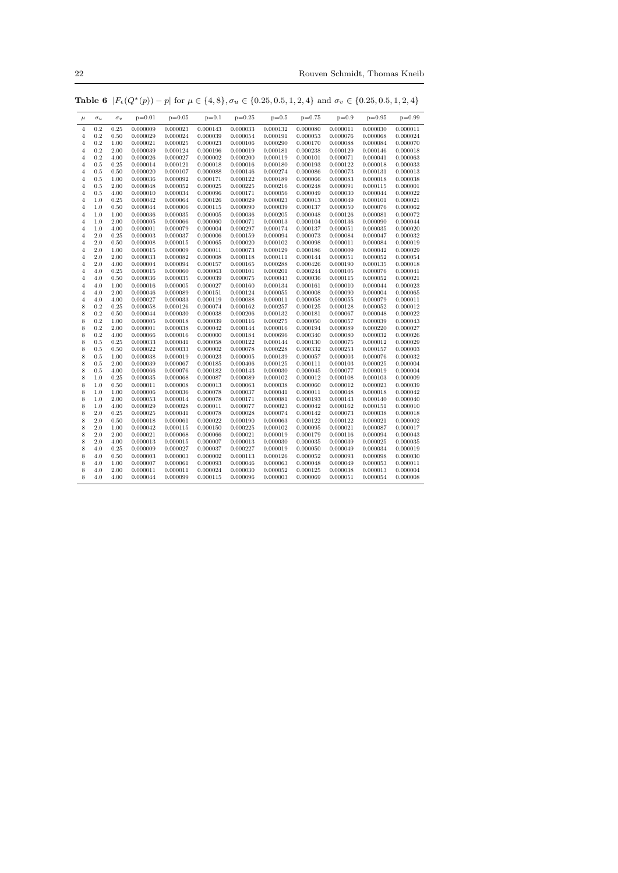22 Rouven Schmidt, Thomas Kneib

| $\mu$          | $\sigma_u$ | $\sigma_v$ | $p=0.01$ | $p=0.05$ | $p=0.1$  | $p=0.25$ | $p=0.5$  | $p=0.75$ | $p=0.9$  | $p=0.95$ | $p=0.99$ |
|----------------|------------|------------|----------|----------|----------|----------|----------|----------|----------|----------|----------|
| $\overline{4}$ | 0.2        | 0.25       | 0.000009 | 0.000023 | 0.000143 | 0.000033 | 0.000132 | 0.000080 | 0.000011 | 0.000030 | 0.000011 |
| $\overline{4}$ | 0.2        | $_{0.50}$  | 0.000029 | 0.000024 | 0.000039 | 0.000054 | 0.000191 | 0.000053 | 0.000076 | 0.000068 | 0.000024 |
| $\overline{4}$ | 0.2        | 1.00       | 0.000021 | 0.000025 | 0.000023 | 0.000106 | 0.000290 | 0.000170 | 0.000088 | 0.000084 | 0.000070 |
| $\overline{4}$ | 0.2        | 2.00       | 0.000039 | 0.000124 | 0.000196 | 0.000019 | 0.000181 | 0.000238 | 0.000129 | 0.000146 | 0.000018 |
| $\overline{4}$ | 0.2        | 4.00       | 0.000026 | 0.000027 | 0.000002 | 0.000200 | 0.000119 | 0.000101 | 0.000071 | 0.000041 | 0.000063 |
| 4              | 0.5        | 0.25       | 0.000014 | 0.000121 | 0.000018 | 0.000016 | 0.000180 | 0.000193 | 0.000122 | 0.000018 | 0.000033 |
| $\overline{4}$ | 0.5        | 0.50       | 0.000020 | 0.000107 | 0.000088 | 0.000146 | 0.000274 | 0.000086 | 0.000073 | 0.000131 | 0.000013 |
| $\overline{4}$ | 0.5        | 1.00       | 0.000036 | 0.000092 | 0.000171 | 0.000122 | 0.000189 | 0.000066 | 0.000083 | 0.000018 | 0.000038 |
| $\overline{4}$ | 0.5        | 2.00       | 0.000048 | 0.000052 | 0.000025 | 0.000225 | 0.000216 | 0.000248 | 0.000091 | 0.000115 | 0.000001 |
| $\overline{4}$ | 0.5        | 4.00       | 0.000010 | 0.000034 | 0.000096 | 0.000171 | 0.000056 | 0.000049 | 0.000030 | 0.000044 | 0.000022 |
| $\overline{4}$ | 1.0        | 0.25       | 0.000042 | 0.000064 | 0.000126 | 0.000029 | 0.000023 | 0.000013 | 0.000049 | 0.000101 | 0.000021 |
| $\overline{4}$ | 1.0        | $_{0.50}$  | 0.000044 | 0.000006 | 0.000115 | 0.000090 | 0.000039 | 0.000137 | 0.000050 | 0.000076 | 0.000062 |
| $\overline{4}$ | 1.0        | 1.00       | 0.000036 | 0.000035 | 0.000005 | 0.000036 | 0.000205 | 0.000048 | 0.000126 | 0.000081 | 0.000072 |
| $\overline{4}$ | 1.0        | 2.00       | 0.000005 | 0.000066 | 0.000060 | 0.000071 | 0.000013 | 0.000104 | 0.000136 | 0.000090 | 0.000044 |
| $\overline{4}$ | 1.0        | 4.00       | 0.000001 | 0.000079 | 0.000004 | 0.000297 | 0.000174 | 0.000137 | 0.000051 | 0.000035 | 0.000020 |
| $\overline{4}$ | 2.0        | 0.25       | 0.000003 | 0.000037 | 0.000006 | 0.000159 | 0.000094 | 0.000073 | 0.000084 | 0.000047 | 0.000032 |
| $\overline{4}$ | 2.0        | $_{0.50}$  | 0.000008 | 0.000015 | 0.000065 | 0.000020 | 0.000102 | 0.000098 | 0.000011 | 0.000084 | 0.000019 |
| $\overline{4}$ | 2.0        | 1.00       | 0.000015 | 0.000009 | 0.000011 | 0.000073 | 0.000129 | 0.000186 | 0.000009 | 0.000042 | 0.000029 |
| $\overline{4}$ | 2.0        | 2.00       | 0.000033 | 0.000082 | 0.000008 | 0.000118 | 0.000111 | 0.000144 | 0.000051 | 0.000052 | 0.000054 |
| $\overline{4}$ | 2.0        | 4.00       | 0.000004 | 0.000094 | 0.000157 | 0.000165 | 0.000288 | 0.000426 | 0.000190 | 0.000135 | 0.000018 |
| $\overline{4}$ | 4.0        | 0.25       | 0.000015 | 0.000060 | 0.000063 | 0.000101 | 0.000201 | 0.000244 | 0.000105 | 0.000076 | 0.000041 |
| $\overline{4}$ | 4.0        | 0.50       | 0.000036 | 0.000035 | 0.000039 | 0.000075 | 0.000043 | 0.000036 | 0.000115 | 0.000052 | 0.000021 |
| $\overline{4}$ | 4.0        | 1.00       | 0.000016 | 0.000005 | 0.000027 | 0.000160 | 0.000134 | 0.000161 | 0.000010 | 0.000044 | 0.000023 |
| 4              | 4.0        | 2.00       | 0.000046 | 0.000089 | 0.000151 | 0.000124 | 0.000055 | 0.000008 | 0.000090 | 0.000004 | 0.000065 |
| $\overline{4}$ | 4.0        | 4.00       | 0.000027 | 0.000033 | 0.000119 | 0.000088 | 0.000011 | 0.000058 | 0.000055 | 0.000079 | 0.000011 |
| 8              | 0.2        | 0.25       | 0.000058 | 0.000126 | 0.000074 | 0.000162 | 0.000257 | 0.000125 | 0.000128 | 0.000052 | 0.000012 |
| 8              | 0.2        | 0.50       | 0.000044 | 0.000030 | 0.000038 | 0.000206 | 0.000132 | 0.000181 | 0.000067 | 0.000048 | 0.000022 |
| 8              | 0.2        | 1.00       | 0.000005 | 0.000018 | 0.000039 | 0.000116 | 0.000275 | 0.000050 | 0.000057 | 0.000039 | 0.000043 |
| 8              | 0.2        | 2.00       | 0.000001 | 0.000038 | 0.000042 | 0.000144 | 0.000016 | 0.000194 | 0.000089 | 0.000220 | 0.000027 |
| 8              | 0.2        | 4.00       | 0.000066 | 0.000016 | 0.000000 | 0.000184 | 0.000696 | 0.000340 | 0.000080 | 0.000032 | 0.000026 |
| 8              | 0.5        | 0.25       | 0.000033 | 0.000041 | 0.000058 | 0.000122 | 0.000144 | 0.000130 | 0.000075 | 0.000012 | 0.000029 |
| 8              | 0.5        | 0.50       | 0.000022 | 0.000033 | 0.000002 | 0.000078 | 0.000228 | 0.000332 | 0.000253 | 0.000157 | 0.000003 |
| 8              | 0.5        | 1.00       | 0.000038 | 0.000019 | 0.000023 | 0.000005 | 0.000139 | 0.000057 | 0.000003 | 0.000076 | 0.000032 |
| 8              | 0.5        | 2.00       | 0.000039 | 0.000067 | 0.000185 | 0.000406 | 0.000125 | 0.000111 | 0.000103 | 0.000025 | 0.000004 |
| 8              | 0.5        | 4.00       | 0.000066 | 0.000076 | 0.000182 | 0.000143 | 0.000030 | 0.000045 | 0.000077 | 0.000019 | 0.000004 |
| 8              | 1.0        | 0.25       | 0.000035 | 0.000068 | 0.000087 | 0.000089 | 0.000102 | 0.000012 | 0.000108 | 0.000103 | 0.000009 |
| 8              | 1.0        | 0.50       | 0.000011 | 0.000008 | 0.000013 | 0.000063 | 0.000038 | 0.000060 | 0.000012 | 0.000023 | 0.000039 |
| 8              | 1.0        | 1.00       | 0.000006 | 0.000036 | 0.000078 | 0.000037 | 0.000041 | 0.000011 | 0.000048 | 0.000018 | 0.000042 |
| 8              | 1.0        | 2.00       | 0.000053 | 0.000014 | 0.000078 | 0.000171 | 0.000081 | 0.000193 | 0.000143 | 0.000140 | 0.000040 |
| 8              | 1.0        | 4.00       | 0.000029 | 0.000028 | 0.000011 | 0.000077 | 0.000023 | 0.000042 | 0.000162 | 0.000151 | 0.000010 |
| 8              | 2.0        | 0.25       | 0.000025 | 0.000041 | 0.000078 | 0.000028 | 0.000074 | 0.000142 | 0.000073 | 0.000038 | 0.000018 |
| 8              | 2.0        | 0.50       | 0.000018 | 0.000061 | 0.000022 | 0.000190 | 0.000063 | 0.000122 | 0.000122 | 0.000021 | 0.000002 |
| 8              | 2.0        | 1.00       | 0.000042 | 0.000115 | 0.000150 | 0.000225 | 0.000102 | 0.000095 | 0.000021 | 0.000087 | 0.000017 |
| 8              | 2.0        | 2.00       | 0.000021 | 0.000068 | 0.000066 | 0.000021 | 0.000019 | 0.000179 | 0.000116 | 0.000094 | 0.000043 |
| 8              | 2.0        | 4.00       | 0.000013 | 0.000015 | 0.000007 | 0.000013 | 0.000030 | 0.000035 | 0.000039 | 0.000025 | 0.000035 |
| 8              | 4.0        | 0.25       | 0.000009 | 0.000027 | 0.000037 | 0.000227 | 0.000019 | 0.000050 | 0.000049 | 0.000034 | 0.000019 |
| 8              | 4.0        | 0.50       | 0.000003 | 0.000003 | 0.000002 | 0.000113 | 0.000126 | 0.000052 | 0.000093 | 0.000098 | 0.000030 |
| 8              | 4.0        | 1.00       | 0.000007 | 0.000061 | 0.000093 | 0.000046 | 0.000063 | 0.000048 | 0.000049 | 0.000053 | 0.000011 |
| 8              | 4.0        | 2.00       | 0.000011 | 0.000011 | 0.000024 | 0.000030 | 0.000052 | 0.000125 | 0.000038 | 0.000013 | 0.000004 |
| 8              | 4.0        | 4.00       | 0.000044 | 0.000099 | 0.000115 | 0.000096 | 0.000003 | 0.000069 | 0.000051 | 0.000054 | 0.000008 |
|                |            |            |          |          |          |          |          |          |          |          |          |

Table 6  $|F_{\epsilon}(Q^*(p)) - p|$  for  $\mu \in \{4, 8\}, \sigma_u \in \{0.25, 0.5, 1, 2, 4\}$  and  $\sigma_v \in \{0.25, 0.5, 1, 2, 4\}$